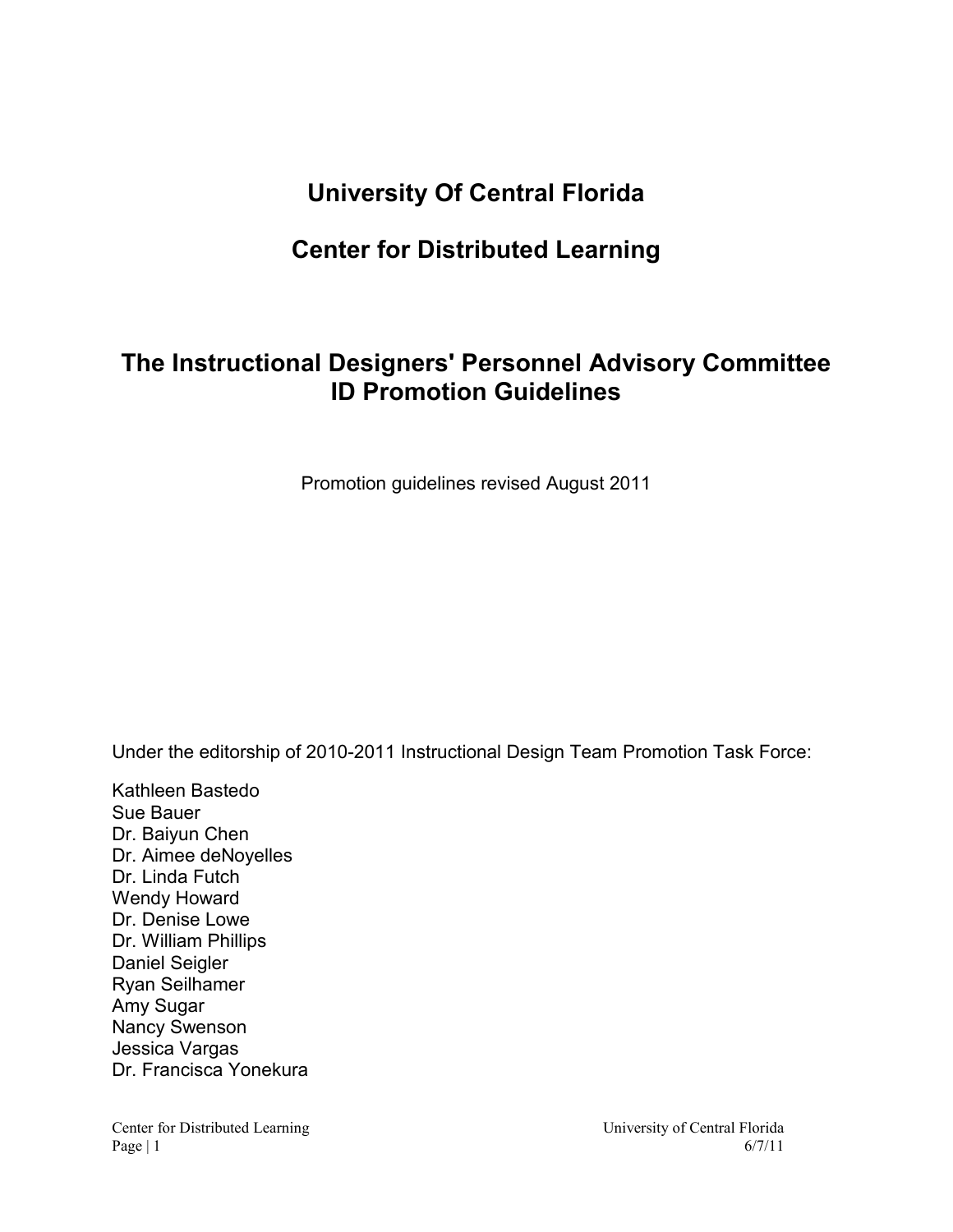# **University Of Central Florida**

# **Center for Distributed Learning**

# **The Instructional Designers' Personnel Advisory Committee ID Promotion Guidelines**

Promotion guidelines revised August 2011

Under the editorship of 2010-2011 Instructional Design Team Promotion Task Force:

Kathleen Bastedo Sue Bauer Dr. Baiyun Chen Dr. Aimee deNoyelles Dr. Linda Futch Wendy Howard Dr. Denise Lowe Dr. William Phillips Daniel Seigler Ryan Seilhamer Amy Sugar Nancy Swenson Jessica Vargas Dr. Francisca Yonekura

Center for Distributed Learning University of Central Florida Page | 1 6/7/11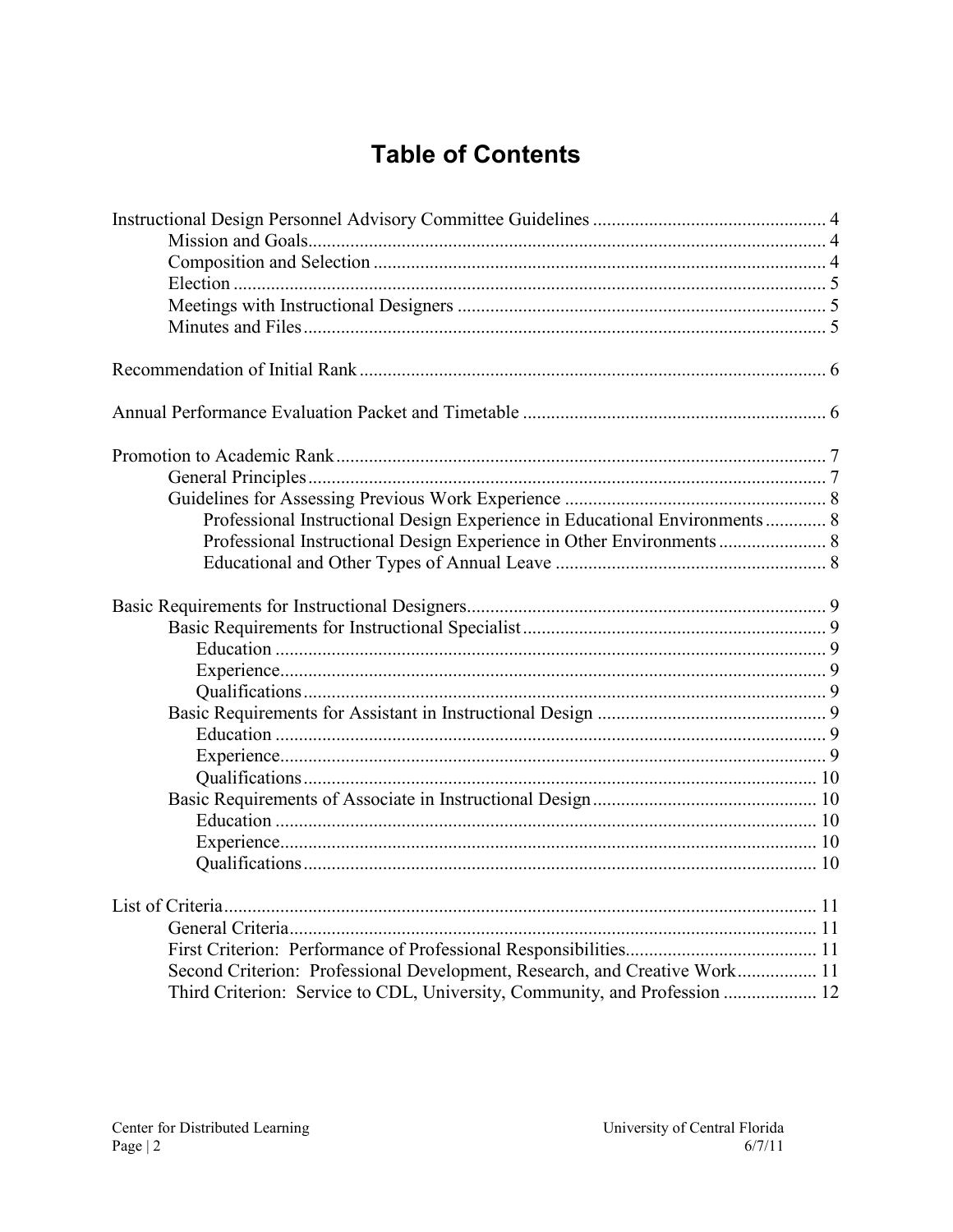# **Table of Contents**

| Professional Instructional Design Experience in Educational Environments 8 |  |
|----------------------------------------------------------------------------|--|
| Professional Instructional Design Experience in Other Environments  8      |  |
|                                                                            |  |
|                                                                            |  |
|                                                                            |  |
|                                                                            |  |
|                                                                            |  |
|                                                                            |  |
|                                                                            |  |
|                                                                            |  |
|                                                                            |  |
|                                                                            |  |
|                                                                            |  |
|                                                                            |  |
|                                                                            |  |
|                                                                            |  |
|                                                                            |  |
|                                                                            |  |
|                                                                            |  |
| Second Criterion: Professional Development, Research, and Creative Work 11 |  |
| Third Criterion: Service to CDL, University, Community, and Profession  12 |  |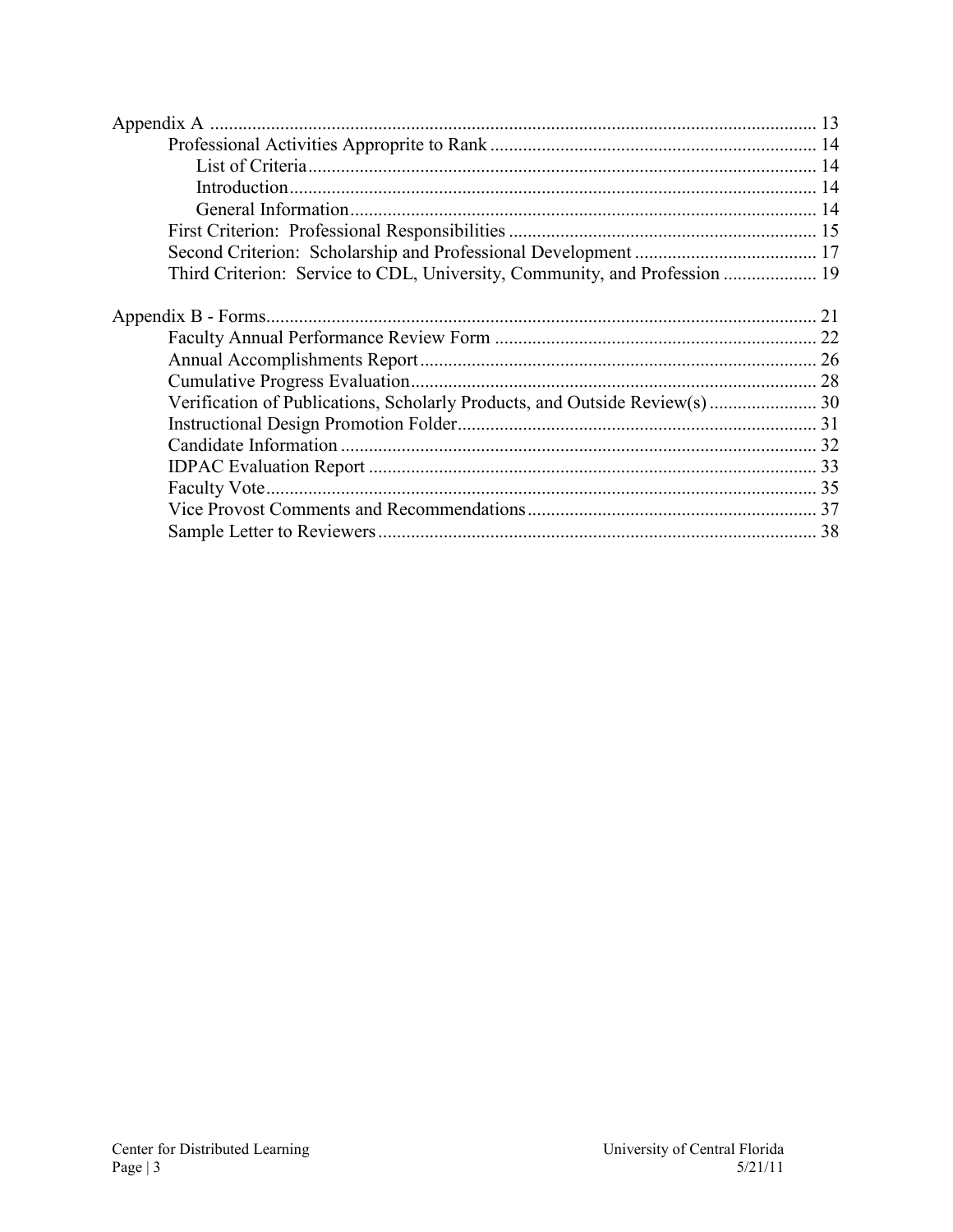| Third Criterion: Service to CDL, University, Community, and Profession  19  |  |
|-----------------------------------------------------------------------------|--|
|                                                                             |  |
|                                                                             |  |
|                                                                             |  |
|                                                                             |  |
|                                                                             |  |
| Verification of Publications, Scholarly Products, and Outside Review(s)  30 |  |
|                                                                             |  |
|                                                                             |  |
|                                                                             |  |
|                                                                             |  |
|                                                                             |  |
|                                                                             |  |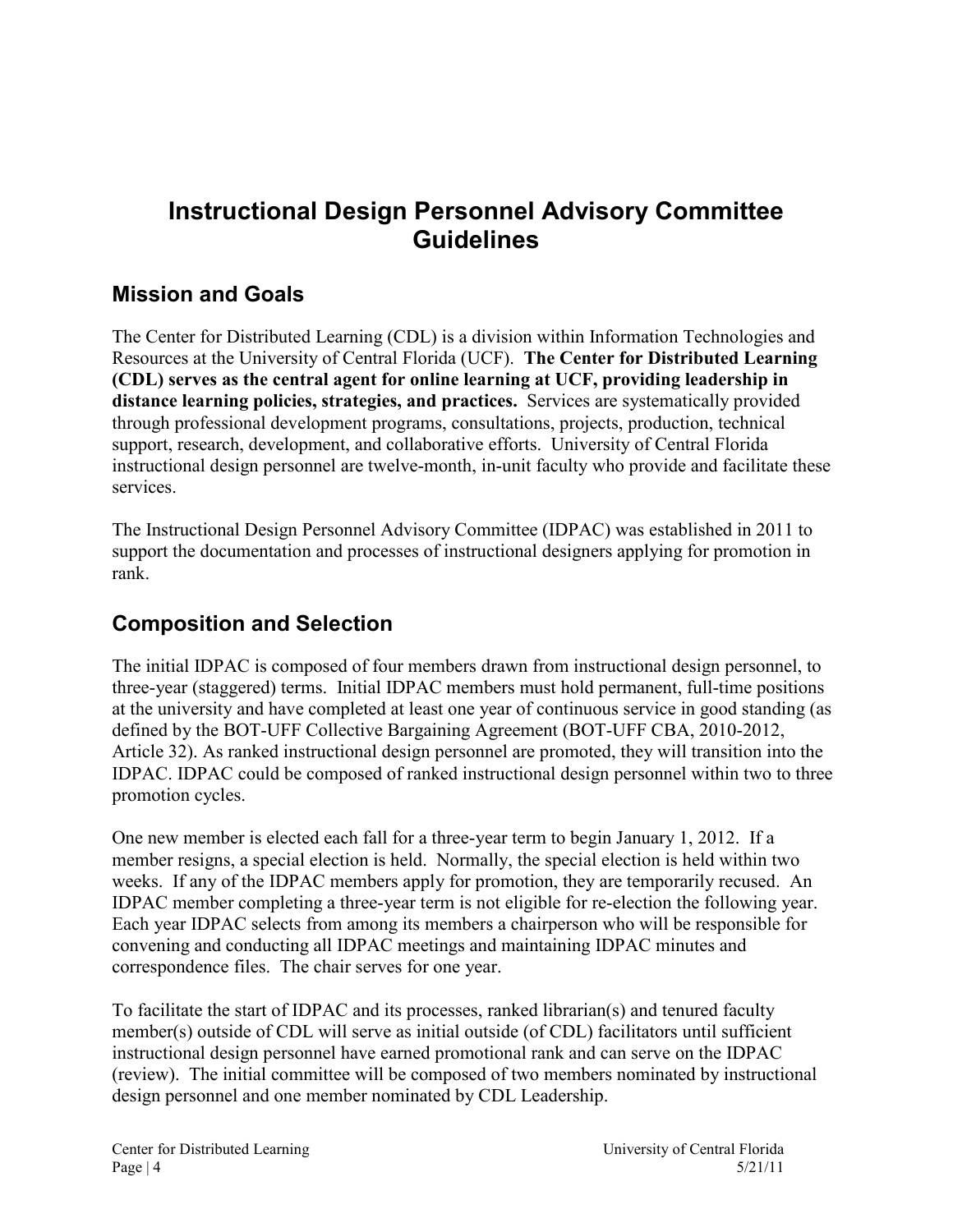# <span id="page-3-0"></span>**Instructional Design Personnel Advisory Committee Guidelines**

### <span id="page-3-1"></span>**Mission and Goals**

The Center for Distributed Learning (CDL) is a division within Information Technologies and Resources at the University of Central Florida (UCF). **The Center for Distributed Learning (CDL) serves as the central agent for online learning at UCF, providing leadership in distance learning policies, strategies, and practices.** Services are systematically provided through professional development programs, consultations, projects, production, technical support, research, development, and collaborative efforts. University of Central Florida instructional design personnel are twelve-month, in-unit faculty who provide and facilitate these services.

The Instructional Design Personnel Advisory Committee (IDPAC) was established in 2011 to support the documentation and processes of instructional designers applying for promotion in rank.

### <span id="page-3-2"></span>**Composition and Selection**

The initial IDPAC is composed of four members drawn from instructional design personnel, to three-year (staggered) terms. Initial IDPAC members must hold permanent, full-time positions at the university and have completed at least one year of continuous service in good standing (as defined by the BOT-UFF Collective Bargaining Agreement (BOT-UFF CBA, 2010-2012, Article 32). As ranked instructional design personnel are promoted, they will transition into the IDPAC. IDPAC could be composed of ranked instructional design personnel within two to three promotion cycles.

One new member is elected each fall for a three-year term to begin January 1, 2012. If a member resigns, a special election is held. Normally, the special election is held within two weeks. If any of the IDPAC members apply for promotion, they are temporarily recused. An IDPAC member completing a three-year term is not eligible for re-election the following year. Each year IDPAC selects from among its members a chairperson who will be responsible for convening and conducting all IDPAC meetings and maintaining IDPAC minutes and correspondence files. The chair serves for one year.

To facilitate the start of IDPAC and its processes, ranked librarian(s) and tenured faculty member(s) outside of CDL will serve as initial outside (of CDL) facilitators until sufficient instructional design personnel have earned promotional rank and can serve on the IDPAC (review). The initial committee will be composed of two members nominated by instructional design personnel and one member nominated by CDL Leadership.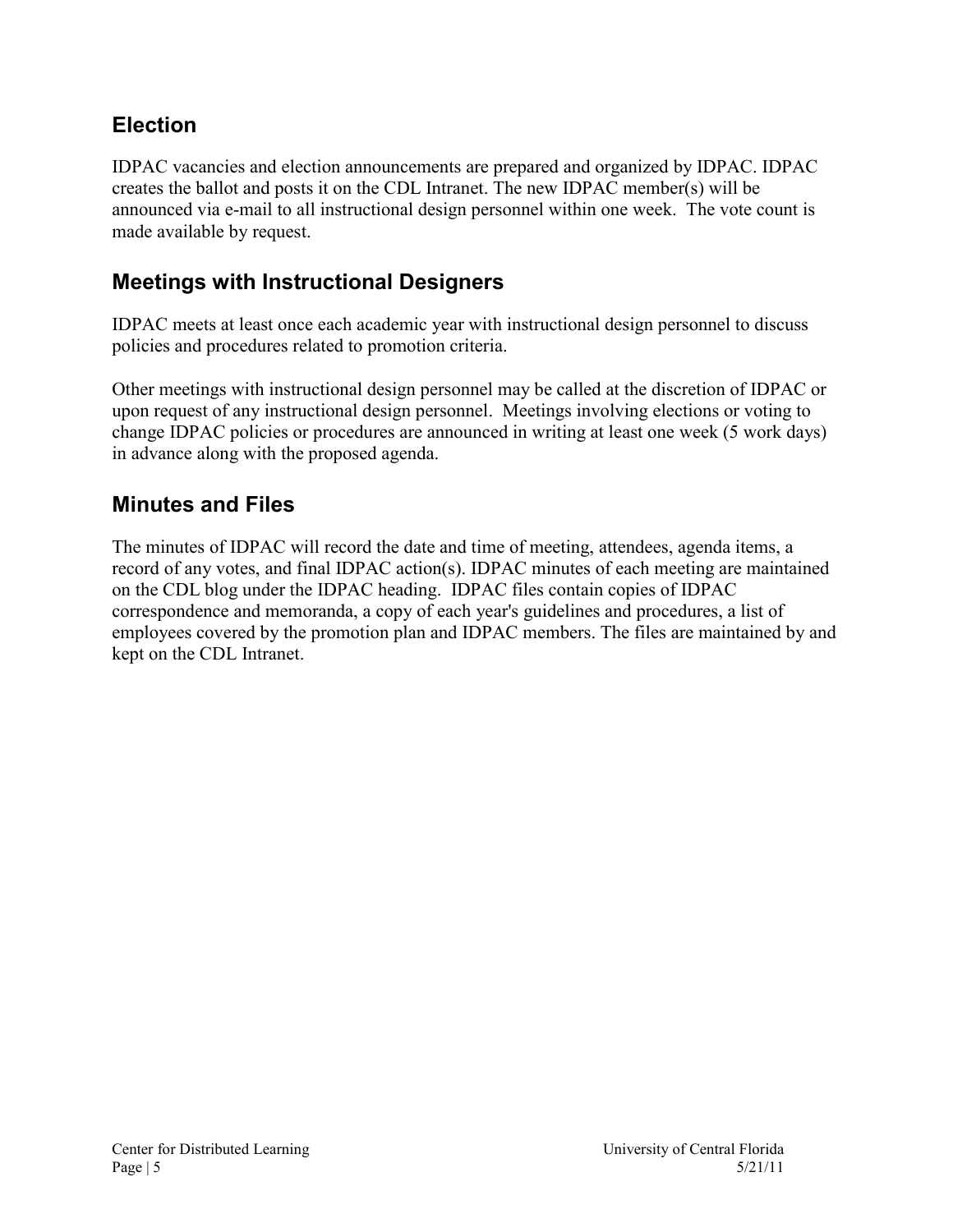### <span id="page-4-0"></span>**Election**

IDPAC vacancies and election announcements are prepared and organized by IDPAC. IDPAC creates the ballot and posts it on the CDL Intranet. The new IDPAC member(s) will be announced via e-mail to all instructional design personnel within one week. The vote count is made available by request.

### <span id="page-4-1"></span>**Meetings with Instructional Designers**

IDPAC meets at least once each academic year with instructional design personnel to discuss policies and procedures related to promotion criteria.

Other meetings with instructional design personnel may be called at the discretion of IDPAC or upon request of any instructional design personnel. Meetings involving elections or voting to change IDPAC policies or procedures are announced in writing at least one week (5 work days) in advance along with the proposed agenda.

### <span id="page-4-2"></span>**Minutes and Files**

The minutes of IDPAC will record the date and time of meeting, attendees, agenda items, a record of any votes, and final IDPAC action(s). IDPAC minutes of each meeting are maintained on the CDL blog under the IDPAC heading. IDPAC files contain copies of IDPAC correspondence and memoranda, a copy of each year's guidelines and procedures, a list of employees covered by the promotion plan and IDPAC members. The files are maintained by and kept on the CDL Intranet.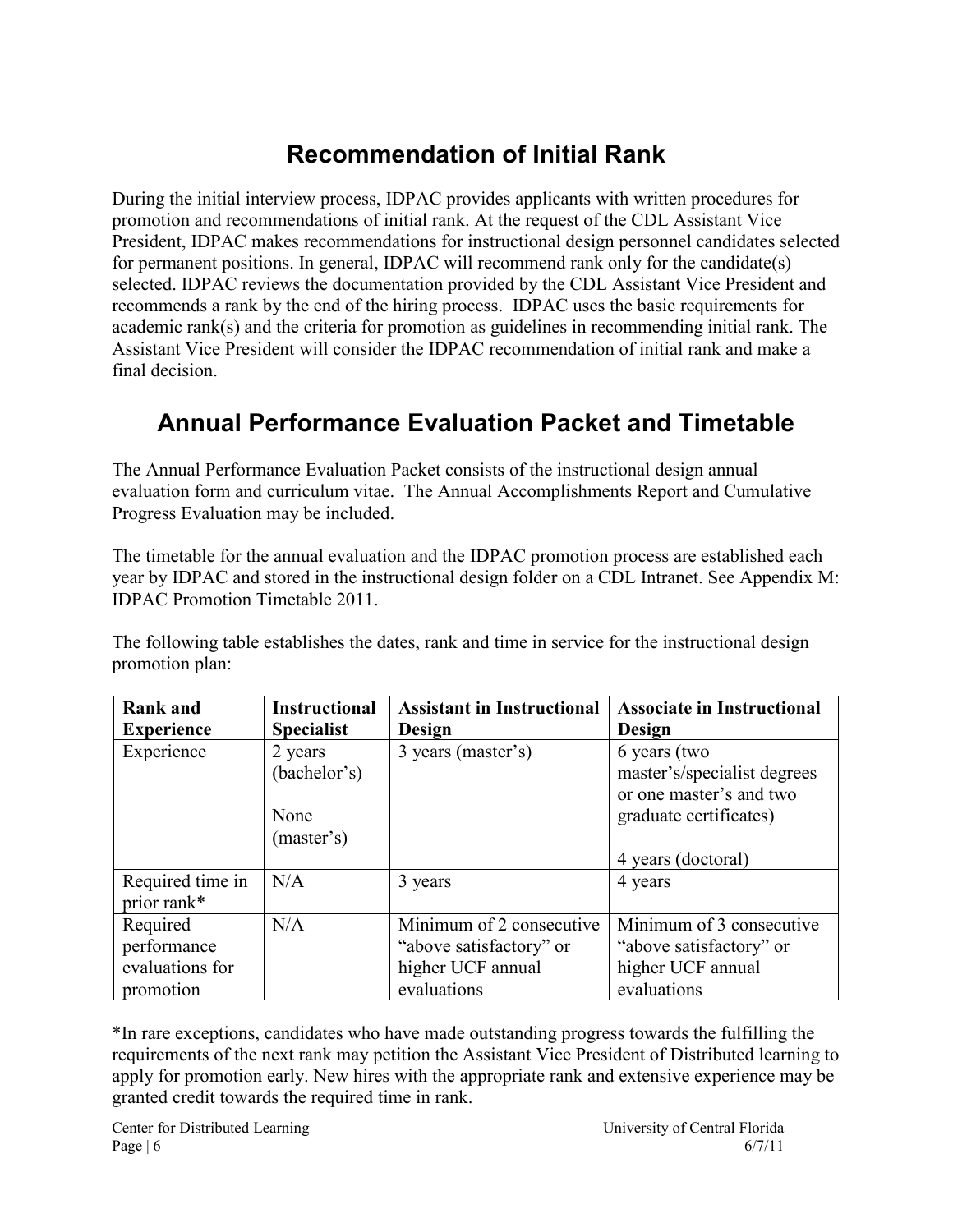# **Recommendation of Initial Rank**

<span id="page-5-0"></span>During the initial interview process, IDPAC provides applicants with written procedures for promotion and recommendations of initial rank. At the request of the CDL Assistant Vice President, IDPAC makes recommendations for instructional design personnel candidates selected for permanent positions. In general, IDPAC will recommend rank only for the candidate(s) selected. IDPAC reviews the documentation provided by the CDL Assistant Vice President and recommends a rank by the end of the hiring process. IDPAC uses the basic requirements for academic rank(s) and the criteria for promotion as guidelines in recommending initial rank. The Assistant Vice President will consider the IDPAC recommendation of initial rank and make a final decision.

# <span id="page-5-1"></span>**Annual Performance Evaluation Packet and Timetable**

The Annual Performance Evaluation Packet consists of the instructional design annual evaluation form and curriculum vitae. The Annual Accomplishments Report and Cumulative Progress Evaluation may be included.

The timetable for the annual evaluation and the IDPAC promotion process are established each year by IDPAC and stored in the instructional design folder on a CDL Intranet. See Appendix M: IDPAC Promotion Timetable 2011.

The following table establishes the dates, rank and time in service for the instructional design promotion plan:

| <b>Rank and</b><br><b>Experience</b> | <b>Instructional</b><br><b>Specialist</b> | <b>Assistant in Instructional</b><br>Design | <b>Associate in Instructional</b><br>Design                            |
|--------------------------------------|-------------------------------------------|---------------------------------------------|------------------------------------------------------------------------|
| Experience                           | 2 years<br>(bachelor's)                   | 3 years (master's)                          | 6 years (two<br>master's/specialist degrees<br>or one master's and two |
|                                      | None<br>(master's)                        |                                             | graduate certificates)                                                 |
|                                      |                                           |                                             | 4 years (doctoral)                                                     |
| Required time in<br>prior rank*      | N/A                                       | 3 years                                     | 4 years                                                                |
| Required                             | N/A                                       | Minimum of 2 consecutive                    | Minimum of 3 consecutive                                               |
| performance                          |                                           | "above satisfactory" or                     | "above satisfactory" or                                                |
| evaluations for                      |                                           | higher UCF annual                           | higher UCF annual                                                      |
| promotion                            |                                           | evaluations                                 | evaluations                                                            |

\*In rare exceptions, candidates who have made outstanding progress towards the fulfilling the requirements of the next rank may petition the Assistant Vice President of Distributed learning to apply for promotion early. New hires with the appropriate rank and extensive experience may be granted credit towards the required time in rank.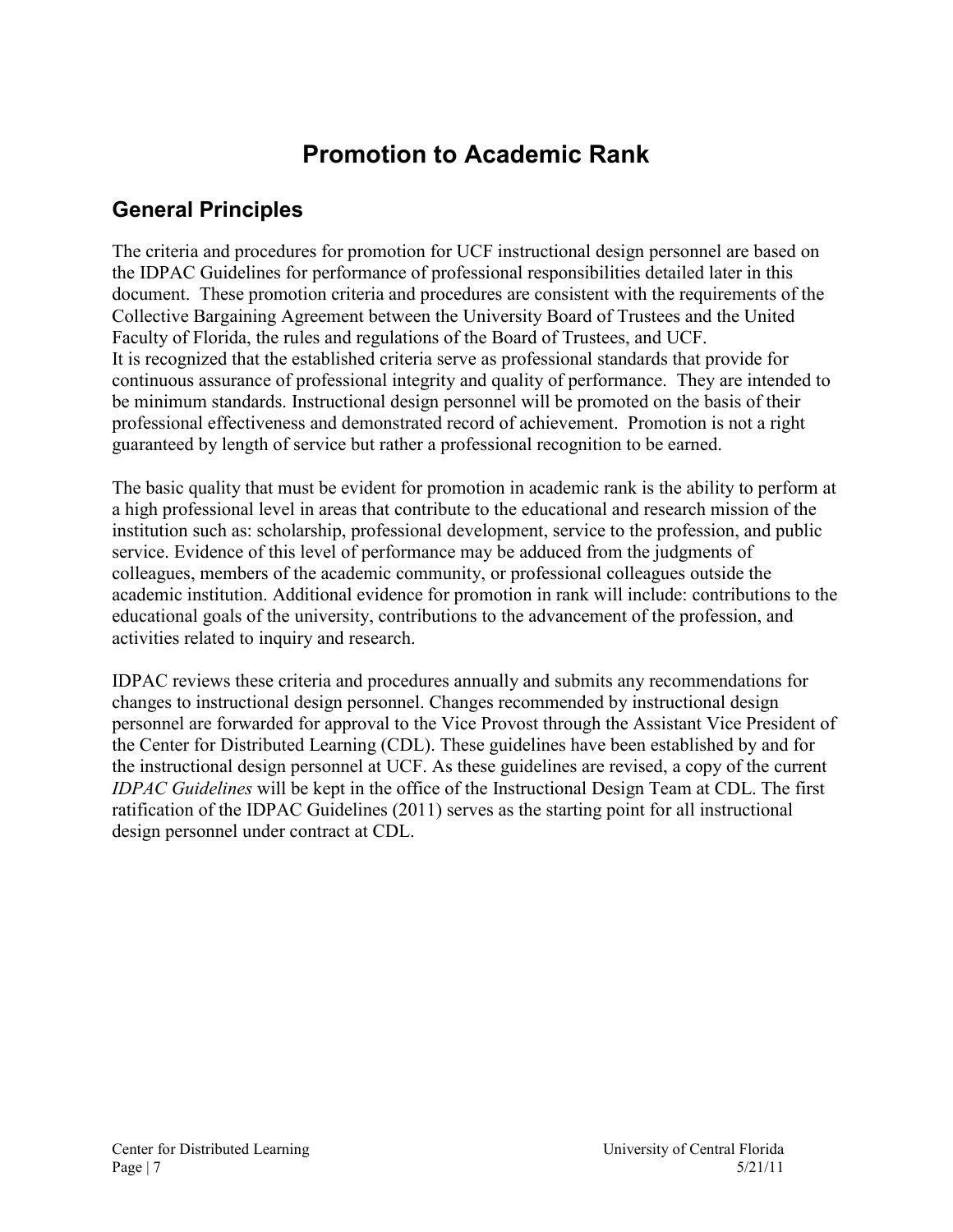# **Promotion to Academic Rank**

### <span id="page-6-1"></span><span id="page-6-0"></span>**General Principles**

The criteria and procedures for promotion for UCF instructional design personnel are based on the IDPAC Guidelines for performance of professional responsibilities detailed later in this document. These promotion criteria and procedures are consistent with the requirements of the Collective Bargaining Agreement between the University Board of Trustees and the United Faculty of Florida, the rules and regulations of the Board of Trustees, and UCF. It is recognized that the established criteria serve as professional standards that provide for continuous assurance of professional integrity and quality of performance. They are intended to be minimum standards. Instructional design personnel will be promoted on the basis of their professional effectiveness and demonstrated record of achievement. Promotion is not a right guaranteed by length of service but rather a professional recognition to be earned.

The basic quality that must be evident for promotion in academic rank is the ability to perform at a high professional level in areas that contribute to the educational and research mission of the institution such as: scholarship, professional development, service to the profession, and public service. Evidence of this level of performance may be adduced from the judgments of colleagues, members of the academic community, or professional colleagues outside the academic institution. Additional evidence for promotion in rank will include: contributions to the educational goals of the university, contributions to the advancement of the profession, and activities related to inquiry and research.

IDPAC reviews these criteria and procedures annually and submits any recommendations for changes to instructional design personnel. Changes recommended by instructional design personnel are forwarded for approval to the Vice Provost through the Assistant Vice President of the Center for Distributed Learning (CDL). These guidelines have been established by and for the instructional design personnel at UCF. As these guidelines are revised, a copy of the current *IDPAC Guidelines* will be kept in the office of the Instructional Design Team at CDL. The first ratification of the IDPAC Guidelines (2011) serves as the starting point for all instructional design personnel under contract at CDL.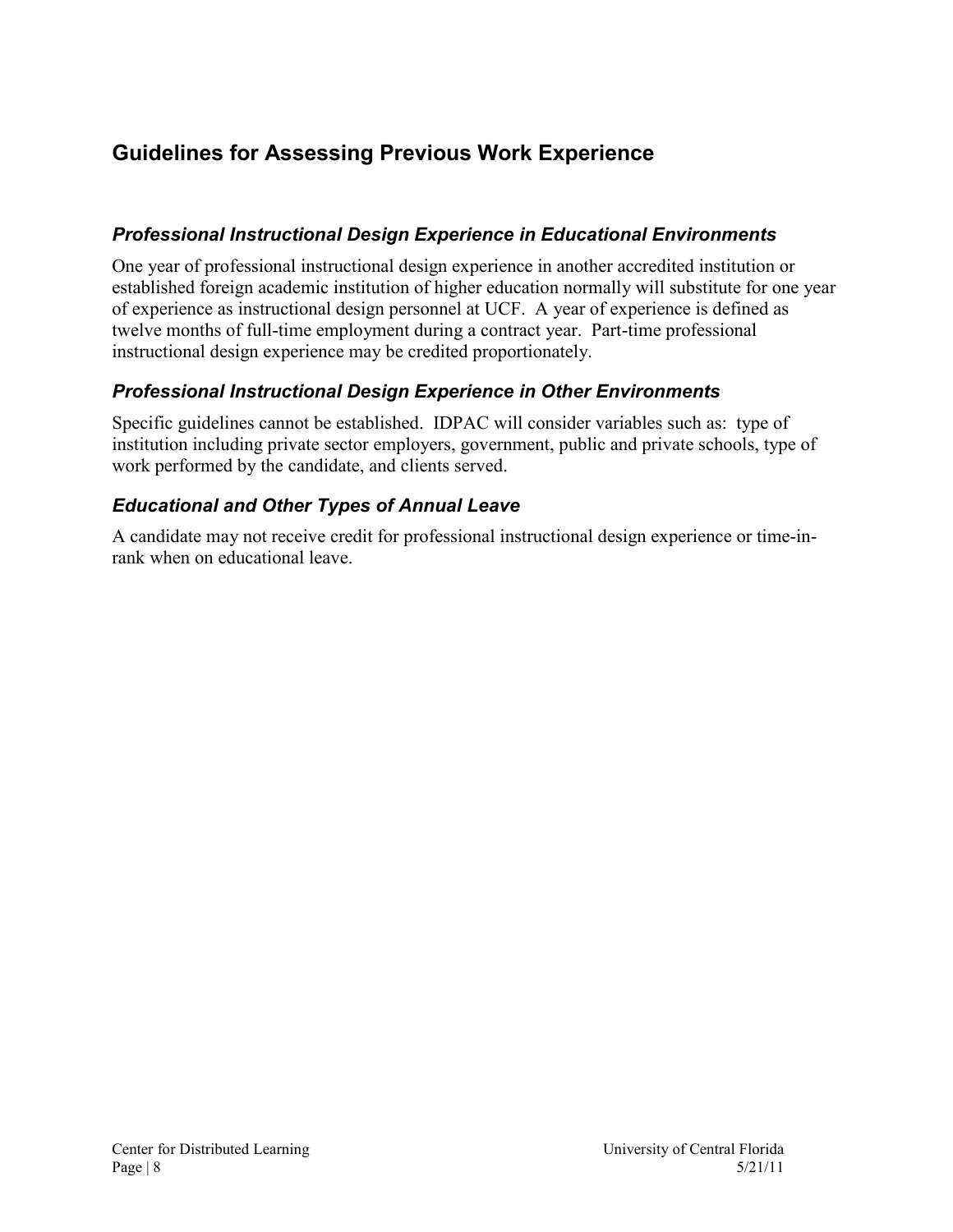### <span id="page-7-0"></span>**Guidelines for Assessing Previous Work Experience**

#### <span id="page-7-1"></span>*Professional Instructional Design Experience in Educational Environments*

One year of professional instructional design experience in another accredited institution or established foreign academic institution of higher education normally will substitute for one year of experience as instructional design personnel at UCF. A year of experience is defined as twelve months of full-time employment during a contract year. Part-time professional instructional design experience may be credited proportionately.

#### <span id="page-7-2"></span>*Professional Instructional Design Experience in Other Environments*

Specific guidelines cannot be established. IDPAC will consider variables such as: type of institution including private sector employers, government, public and private schools, type of work performed by the candidate, and clients served.

#### <span id="page-7-3"></span>*Educational and Other Types of Annual Leave*

A candidate may not receive credit for professional instructional design experience or time-inrank when on educational leave.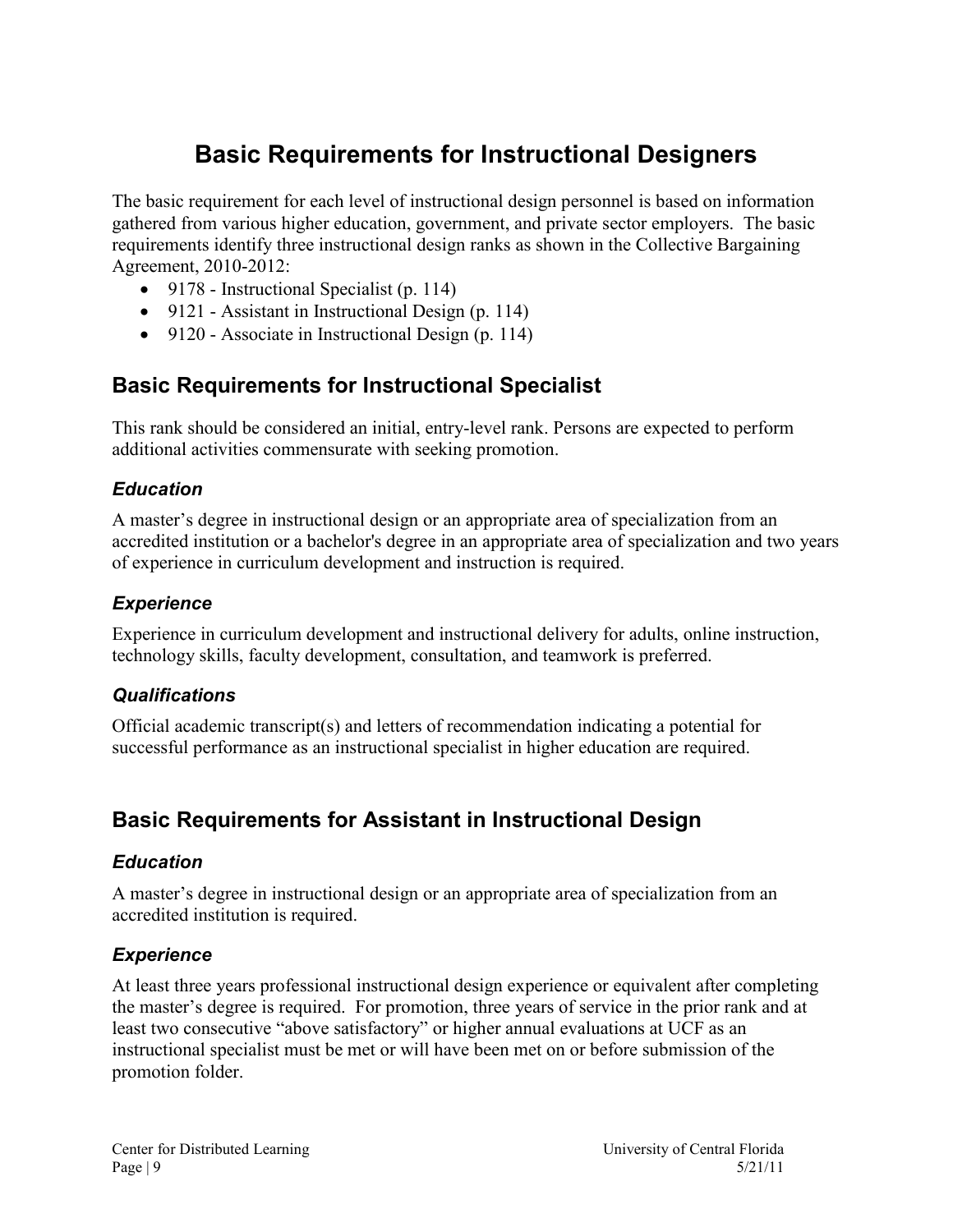# **Basic Requirements for Instructional Designers**

<span id="page-8-0"></span>The basic requirement for each level of instructional design personnel is based on information gathered from various higher education, government, and private sector employers. The basic requirements identify three instructional design ranks as shown in the Collective Bargaining Agreement, 2010-2012:

- 9178 Instructional Specialist (p. 114)
- 9121 Assistant in Instructional Design (p. 114)
- 9120 Associate in Instructional Design (p. 114)

### <span id="page-8-1"></span>**Basic Requirements for Instructional Specialist**

This rank should be considered an initial, entry-level rank. Persons are expected to perform additional activities commensurate with seeking promotion.

#### <span id="page-8-2"></span>*Education*

A master's degree in instructional design or an appropriate area of specialization from an accredited institution or a bachelor's degree in an appropriate area of specialization and two years of experience in curriculum development and instruction is required.

#### <span id="page-8-3"></span>*Experience*

Experience in curriculum development and instructional delivery for adults, online instruction, technology skills, faculty development, consultation, and teamwork is preferred.

#### <span id="page-8-4"></span>*Qualifications*

Official academic transcript(s) and letters of recommendation indicating a potential for successful performance as an instructional specialist in higher education are required.

### <span id="page-8-5"></span>**Basic Requirements for Assistant in Instructional Design**

#### <span id="page-8-6"></span>*Education*

A master's degree in instructional design or an appropriate area of specialization from an accredited institution is required.

#### <span id="page-8-7"></span>*Experience*

At least three years professional instructional design experience or equivalent after completing the master's degree is required. For promotion, three years of service in the prior rank and at least two consecutive "above satisfactory" or higher annual evaluations at UCF as an instructional specialist must be met or will have been met on or before submission of the promotion folder.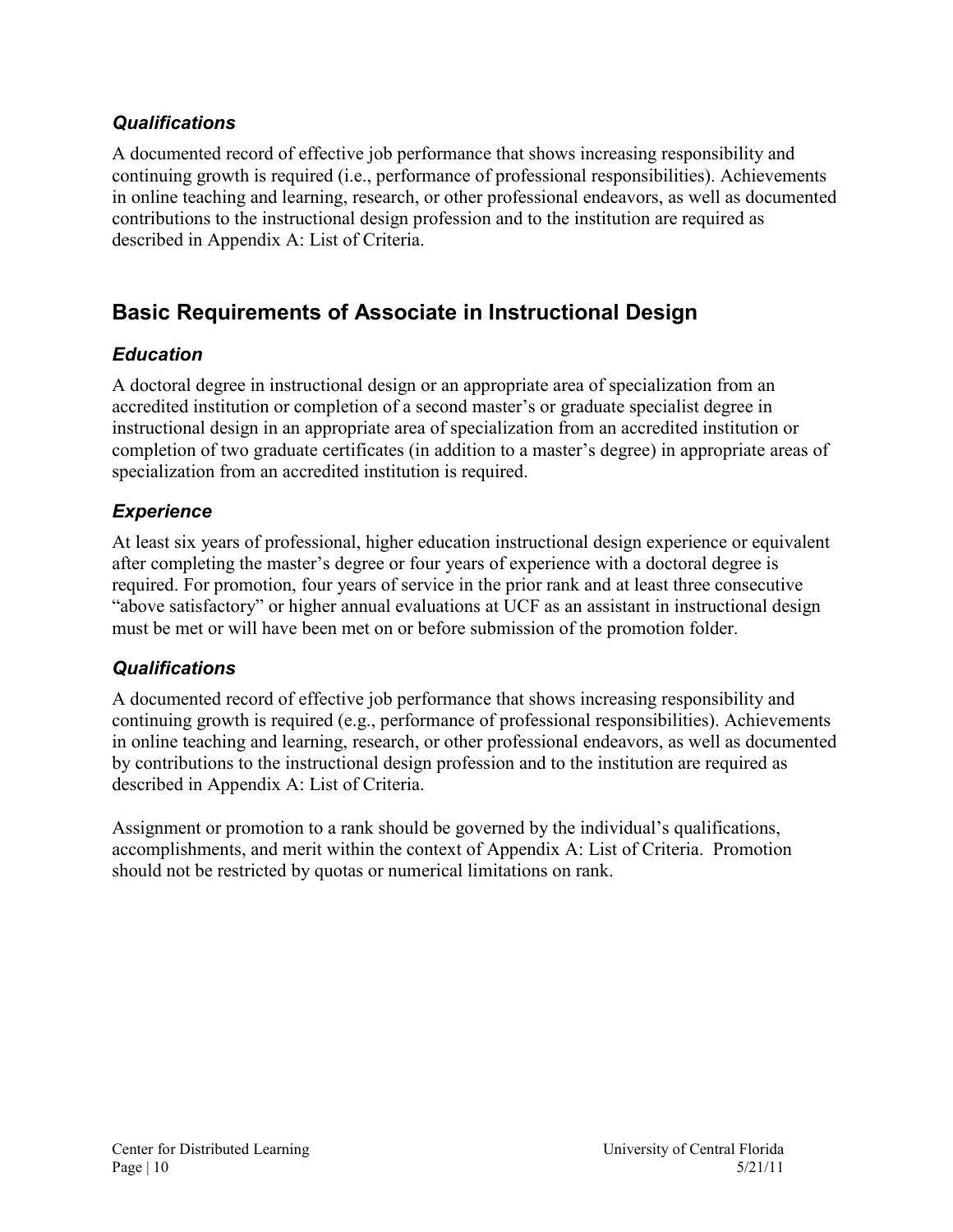#### <span id="page-9-0"></span>*Qualifications*

A documented record of effective job performance that shows increasing responsibility and continuing growth is required (i.e., performance of professional responsibilities). Achievements in online teaching and learning, research, or other professional endeavors, as well as documented contributions to the instructional design profession and to the institution are required as described in Appendix A: List of Criteria.

### <span id="page-9-1"></span>**Basic Requirements of Associate in Instructional Design**

#### <span id="page-9-2"></span>*Education*

A doctoral degree in instructional design or an appropriate area of specialization from an accredited institution or completion of a second master's or graduate specialist degree in instructional design in an appropriate area of specialization from an accredited institution or completion of two graduate certificates (in addition to a master's degree) in appropriate areas of specialization from an accredited institution is required.

### <span id="page-9-3"></span>*Experience*

At least six years of professional, higher education instructional design experience or equivalent after completing the master's degree or four years of experience with a doctoral degree is required. For promotion, four years of service in the prior rank and at least three consecutive "above satisfactory" or higher annual evaluations at UCF as an assistant in instructional design must be met or will have been met on or before submission of the promotion folder.

#### <span id="page-9-4"></span>*Qualifications*

A documented record of effective job performance that shows increasing responsibility and continuing growth is required (e.g., performance of professional responsibilities). Achievements in online teaching and learning, research, or other professional endeavors, as well as documented by contributions to the instructional design profession and to the institution are required as described in Appendix A: List of Criteria.

Assignment or promotion to a rank should be governed by the individual's qualifications, accomplishments, and merit within the context of Appendix A: List of Criteria. Promotion should not be restricted by quotas or numerical limitations on rank.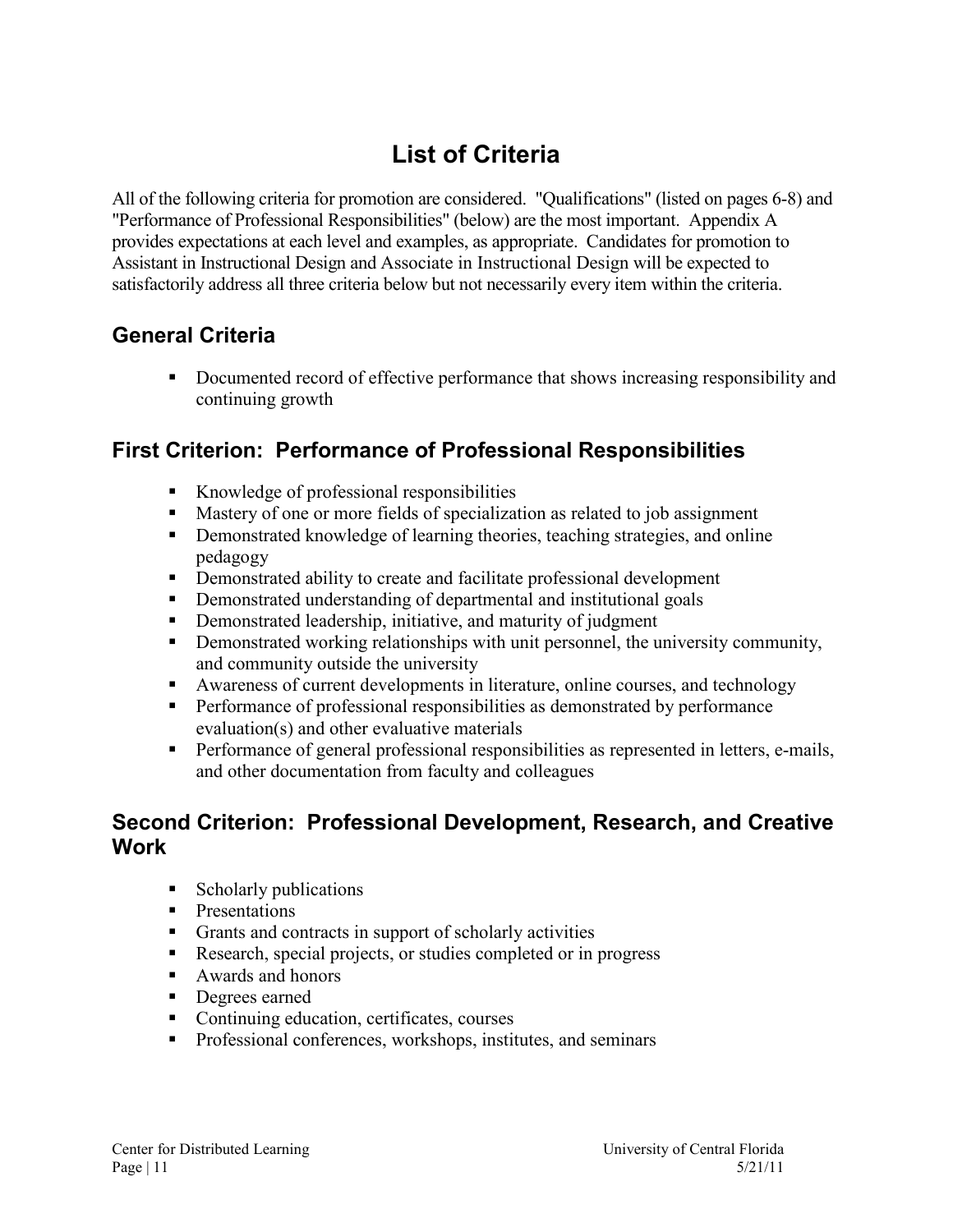# **List of Criteria**

<span id="page-10-0"></span>All of the following criteria for promotion are considered. "Qualifications" (listed on pages 6-8) and "Performance of Professional Responsibilities" (below) are the most important. Appendix A provides expectations at each level and examples, as appropriate. Candidates for promotion to Assistant in Instructional Design and Associate in Instructional Design will be expected to satisfactorily address all three criteria below but not necessarily every item within the criteria.

### <span id="page-10-1"></span>**General Criteria**

 Documented record of effective performance that shows increasing responsibility and continuing growth

### <span id="page-10-2"></span>**First Criterion: Performance of Professional Responsibilities**

- Knowledge of professional responsibilities
- Mastery of one or more fields of specialization as related to job assignment
- **•** Demonstrated knowledge of learning theories, teaching strategies, and online pedagogy
- **•** Demonstrated ability to create and facilitate professional development
- Demonstrated understanding of departmental and institutional goals
- **•** Demonstrated leadership, initiative, and maturity of judgment
- **•** Demonstrated working relationships with unit personnel, the university community, and community outside the university
- Awareness of current developments in literature, online courses, and technology
- **Performance of professional responsibilities as demonstrated by performance** evaluation(s) and other evaluative materials
- Performance of general professional responsibilities as represented in letters, e-mails, and other documentation from faculty and colleagues

### <span id="page-10-3"></span>**Second Criterion: Professional Development, Research, and Creative Work**

- **Scholarly publications**
- **Presentations**
- Grants and contracts in support of scholarly activities
- Research, special projects, or studies completed or in progress
- Awards and honors
- **Degrees earned**
- Continuing education, certificates, courses
- **Professional conferences, workshops, institutes, and seminars**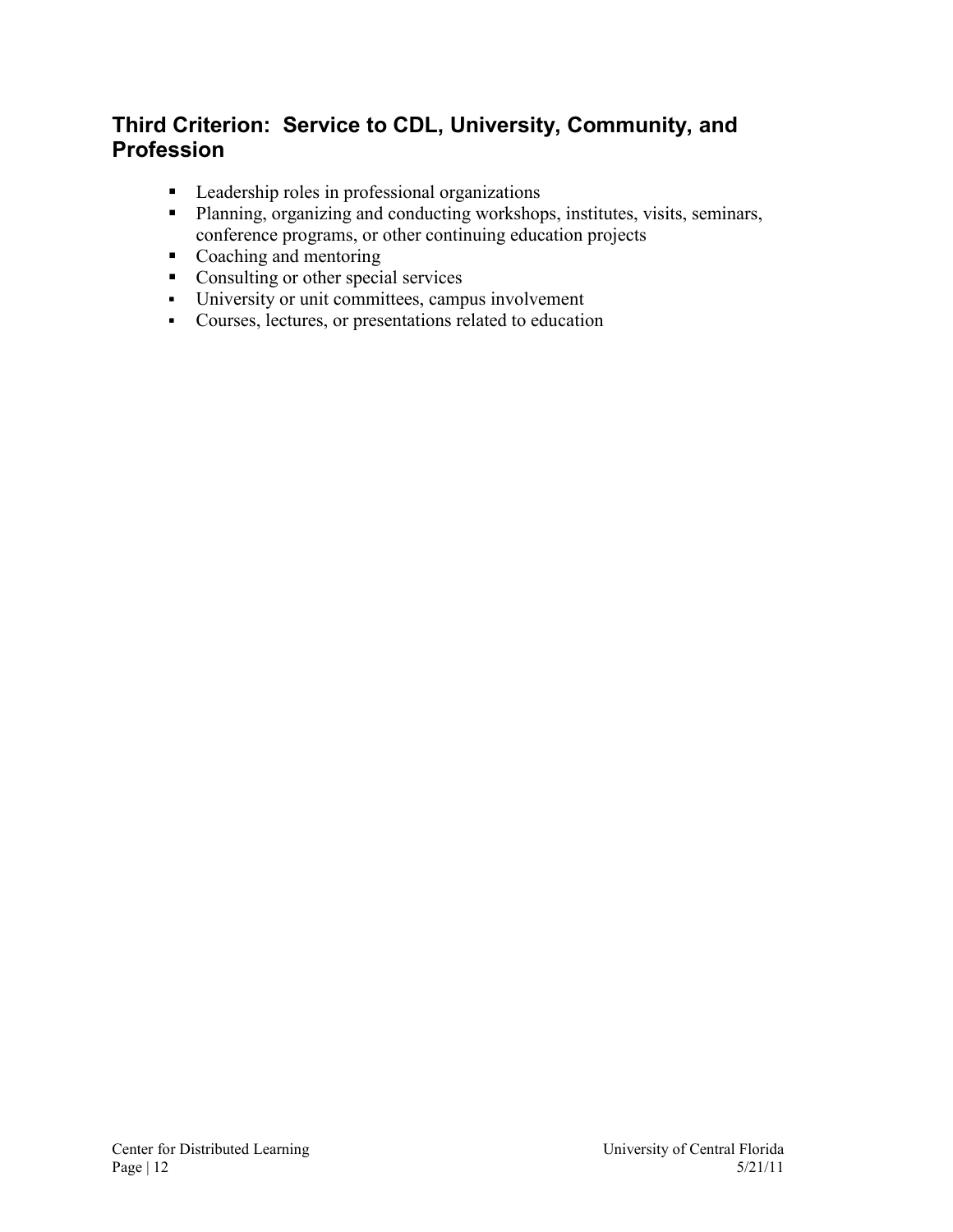### <span id="page-11-0"></span>**Third Criterion: Service to CDL, University, Community, and Profession**

- **Leadership roles in professional organizations**
- Planning, organizing and conducting workshops, institutes, visits, seminars, conference programs, or other continuing education projects
- Coaching and mentoring
- Consulting or other special services
- University or unit committees, campus involvement
- Courses, lectures, or presentations related to education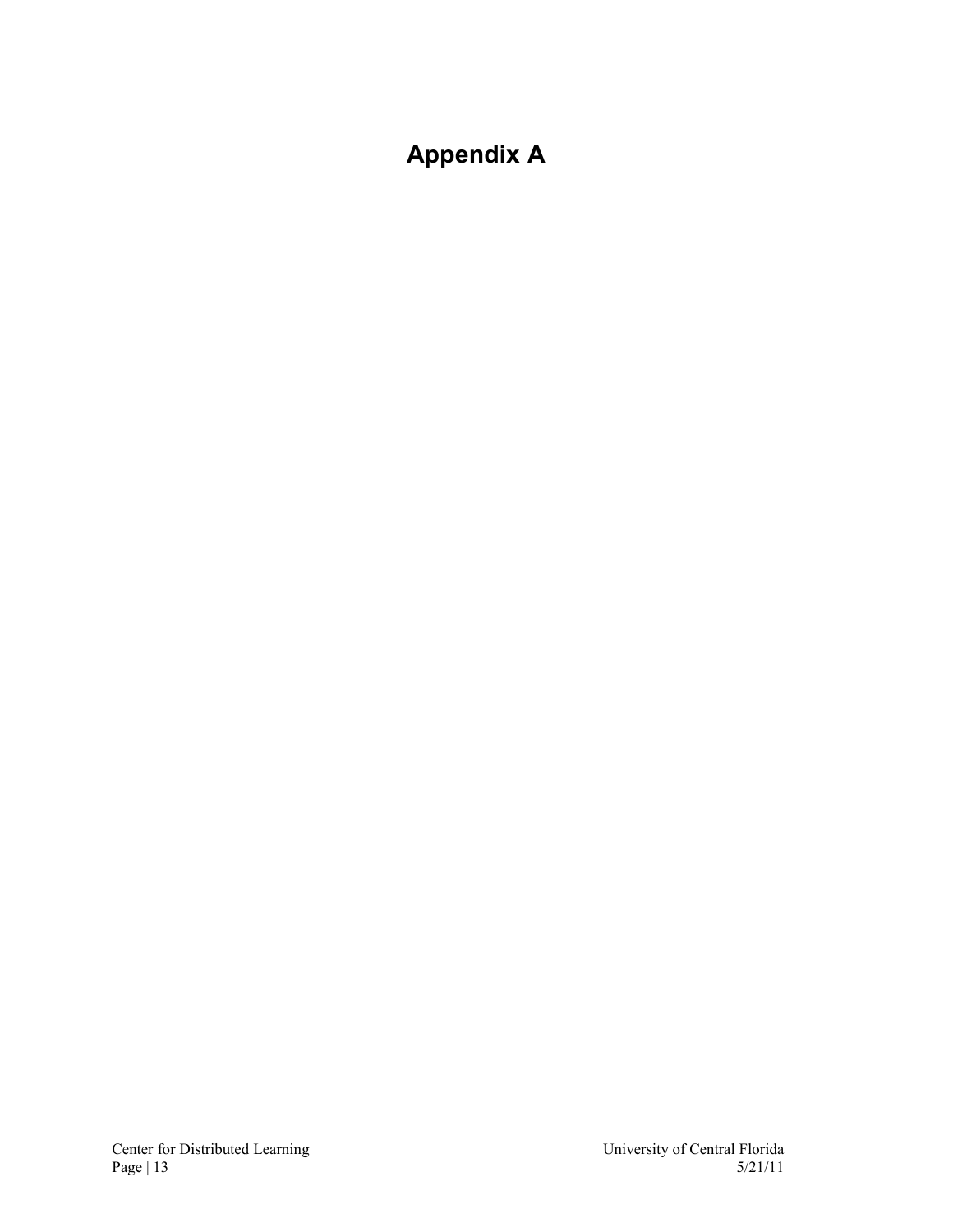# <span id="page-12-0"></span>**Appendix A**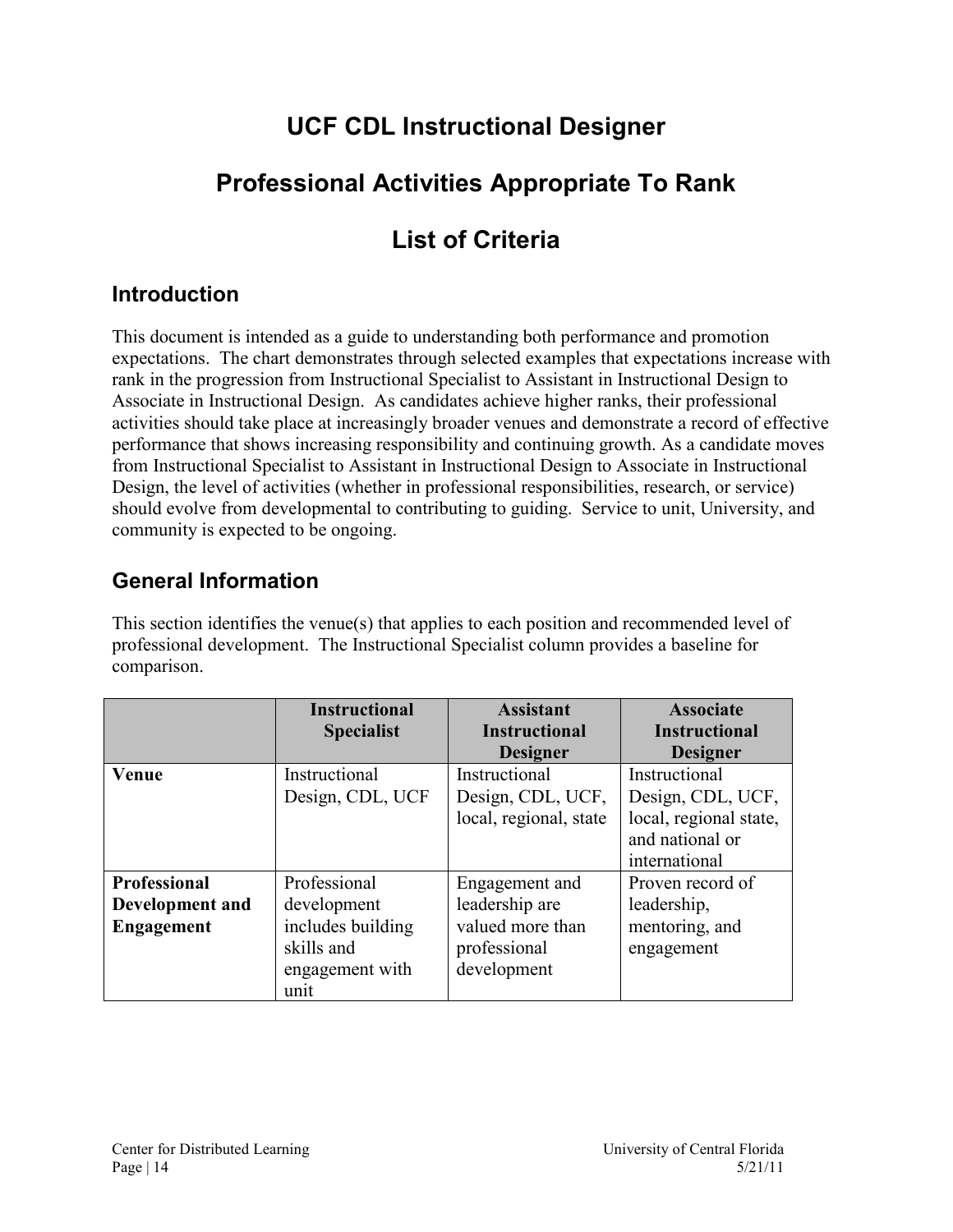# **UCF CDL Instructional Designer**

# <span id="page-13-0"></span>**Professional Activities Appropriate To Rank**

# **List of Criteria**

### <span id="page-13-2"></span><span id="page-13-1"></span>**Introduction**

This document is intended as a guide to understanding both performance and promotion expectations. The chart demonstrates through selected examples that expectations increase with rank in the progression from Instructional Specialist to Assistant in Instructional Design to Associate in Instructional Design. As candidates achieve higher ranks, their professional activities should take place at increasingly broader venues and demonstrate a record of effective performance that shows increasing responsibility and continuing growth. As a candidate moves from Instructional Specialist to Assistant in Instructional Design to Associate in Instructional Design, the level of activities (whether in professional responsibilities, research, or service) should evolve from developmental to contributing to guiding. Service to unit, University, and community is expected to be ongoing.

### <span id="page-13-3"></span>**General Information**

This section identifies the venue(s) that applies to each position and recommended level of professional development. The Instructional Specialist column provides a baseline for comparison.

|                     | <b>Instructional</b> | <b>Assistant</b>       | <b>Associate</b>       |
|---------------------|----------------------|------------------------|------------------------|
|                     | <b>Specialist</b>    | <b>Instructional</b>   | <b>Instructional</b>   |
|                     |                      | <b>Designer</b>        | <b>Designer</b>        |
| Venue               | Instructional        | Instructional          | Instructional          |
|                     | Design, CDL, UCF     | Design, CDL, UCF,      | Design, CDL, UCF,      |
|                     |                      | local, regional, state | local, regional state, |
|                     |                      |                        | and national or        |
|                     |                      |                        | international          |
| <b>Professional</b> | Professional         | Engagement and         | Proven record of       |
| Development and     | development          | leadership are         | leadership,            |
| <b>Engagement</b>   | includes building    | valued more than       | mentoring, and         |
|                     | skills and           | professional           | engagement             |
|                     | engagement with      | development            |                        |
|                     | unit                 |                        |                        |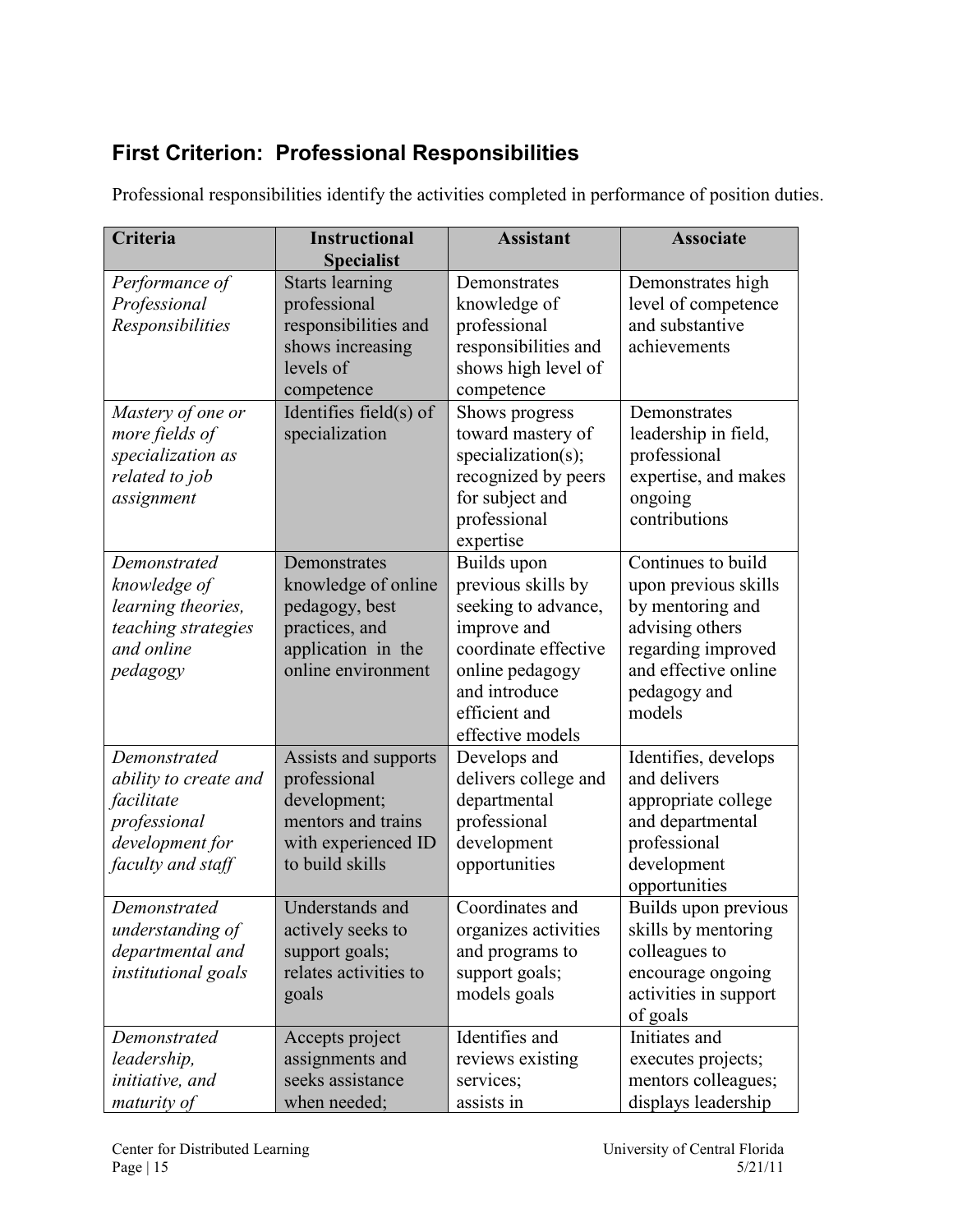## <span id="page-14-0"></span>**First Criterion: Professional Responsibilities**

| Criteria                                                                                                    | <b>Instructional</b><br><b>Specialist</b>                                                                            | <b>Assistant</b>                                                                                                                                                         | <b>Associate</b>                                                                                                                                          |
|-------------------------------------------------------------------------------------------------------------|----------------------------------------------------------------------------------------------------------------------|--------------------------------------------------------------------------------------------------------------------------------------------------------------------------|-----------------------------------------------------------------------------------------------------------------------------------------------------------|
| Performance of<br>Professional<br>Responsibilities                                                          | <b>Starts learning</b><br>professional<br>responsibilities and<br>shows increasing<br>levels of<br>competence        | Demonstrates<br>knowledge of<br>professional<br>responsibilities and<br>shows high level of<br>competence                                                                | Demonstrates high<br>level of competence<br>and substantive<br>achievements                                                                               |
| Mastery of one or<br>more fields of<br>specialization as<br>related to job<br>assignment                    | Identifies field $(s)$ of<br>specialization                                                                          | Shows progress<br>toward mastery of<br>specialization(s);<br>recognized by peers<br>for subject and<br>professional<br>expertise                                         | Demonstrates<br>leadership in field,<br>professional<br>expertise, and makes<br>ongoing<br>contributions                                                  |
| Demonstrated<br>knowledge of<br>learning theories,<br>teaching strategies<br>and online<br>pedagogy         | Demonstrates<br>knowledge of online<br>pedagogy, best<br>practices, and<br>application in the<br>online environment  | Builds upon<br>previous skills by<br>seeking to advance,<br>improve and<br>coordinate effective<br>online pedagogy<br>and introduce<br>efficient and<br>effective models | Continues to build<br>upon previous skills<br>by mentoring and<br>advising others<br>regarding improved<br>and effective online<br>pedagogy and<br>models |
| Demonstrated<br>ability to create and<br>facilitate<br>professional<br>development for<br>faculty and staff | Assists and supports<br>professional<br>development;<br>mentors and trains<br>with experienced ID<br>to build skills | Develops and<br>delivers college and<br>departmental<br>professional<br>development<br>opportunities                                                                     | Identifies, develops<br>and delivers<br>appropriate college<br>and departmental<br>professional<br>development<br>opportunities                           |
| Demonstrated<br>understanding of<br>departmental and<br>institutional goals                                 | Understands and<br>actively seeks to<br>support goals;<br>relates activities to<br>goals                             | Coordinates and<br>organizes activities<br>and programs to<br>support goals;<br>models goals                                                                             | Builds upon previous<br>skills by mentoring<br>colleagues to<br>encourage ongoing<br>activities in support<br>of goals                                    |
| Demonstrated<br>leadership,<br>initiative, and<br>maturity of                                               | Accepts project<br>assignments and<br>seeks assistance<br>when needed;                                               | Identifies and<br>reviews existing<br>services;<br>assists in                                                                                                            | Initiates and<br>executes projects;<br>mentors colleagues;<br>displays leadership                                                                         |

Professional responsibilities identify the activities completed in performance of position duties.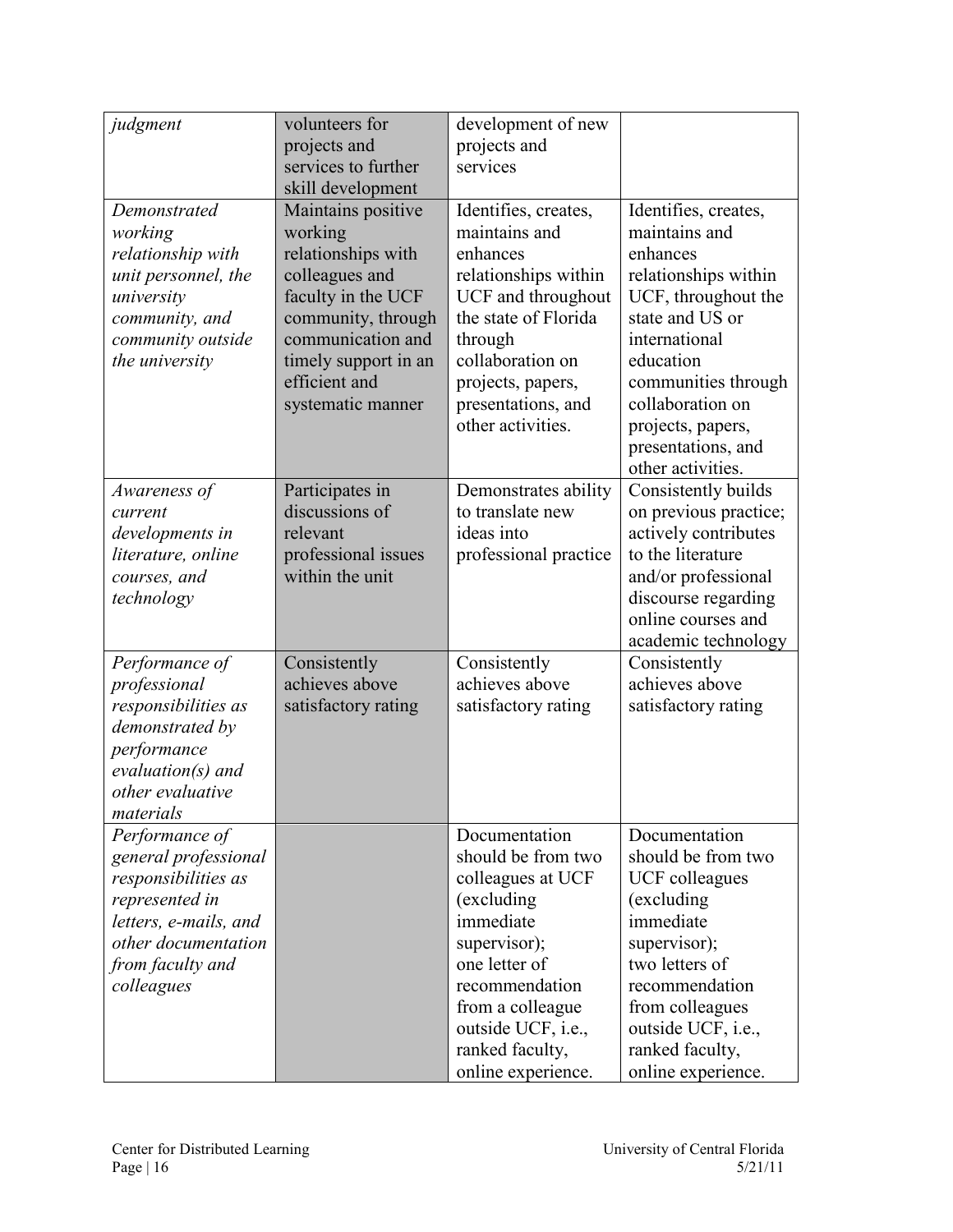| judgment                                                                                                                                                          | volunteers for<br>projects and<br>services to further<br>skill development                                                                                                                           | development of new<br>projects and<br>services                                                                                                                                                                            |                                                                                                                                                                                                                                                              |
|-------------------------------------------------------------------------------------------------------------------------------------------------------------------|------------------------------------------------------------------------------------------------------------------------------------------------------------------------------------------------------|---------------------------------------------------------------------------------------------------------------------------------------------------------------------------------------------------------------------------|--------------------------------------------------------------------------------------------------------------------------------------------------------------------------------------------------------------------------------------------------------------|
| Demonstrated<br>working<br>relationship with<br>unit personnel, the<br>university<br>community, and<br>community outside<br>the university                        | Maintains positive<br>working<br>relationships with<br>colleagues and<br>faculty in the UCF<br>community, through<br>communication and<br>timely support in an<br>efficient and<br>systematic manner | Identifies, creates,<br>maintains and<br>enhances<br>relationships within<br>UCF and throughout<br>the state of Florida<br>through<br>collaboration on<br>projects, papers,<br>presentations, and<br>other activities.    | Identifies, creates,<br>maintains and<br>enhances<br>relationships within<br>UCF, throughout the<br>state and US or<br>international<br>education<br>communities through<br>collaboration on<br>projects, papers,<br>presentations, and<br>other activities. |
| Awareness of<br>current<br>developments in<br>literature, online<br>courses, and<br>technology                                                                    | Participates in<br>discussions of<br>relevant<br>professional issues<br>within the unit                                                                                                              | Demonstrates ability<br>to translate new<br>ideas into<br>professional practice                                                                                                                                           | Consistently builds<br>on previous practice;<br>actively contributes<br>to the literature<br>and/or professional<br>discourse regarding<br>online courses and<br>academic technology                                                                         |
| Performance of<br>professional<br>responsibilities as<br>demonstrated by<br>performance<br>$evaluation(s)$ and<br>other evaluative<br>materials                   | Consistently<br>achieves above<br>satisfactory rating                                                                                                                                                | Consistently<br>achieves above<br>satisfactory rating                                                                                                                                                                     | Consistently<br>achieves above<br>satisfactory rating                                                                                                                                                                                                        |
| Performance of<br>general professional<br>responsibilities as<br>represented in<br>letters, e-mails, and<br>other documentation<br>from faculty and<br>colleagues |                                                                                                                                                                                                      | Documentation<br>should be from two<br>colleagues at UCF<br>(excluding<br>immediate<br>supervisor);<br>one letter of<br>recommendation<br>from a colleague<br>outside UCF, i.e.,<br>ranked faculty,<br>online experience. | Documentation<br>should be from two<br><b>UCF</b> colleagues<br>(excluding<br>immediate<br>supervisor);<br>two letters of<br>recommendation<br>from colleagues<br>outside UCF, i.e.,<br>ranked faculty,<br>online experience.                                |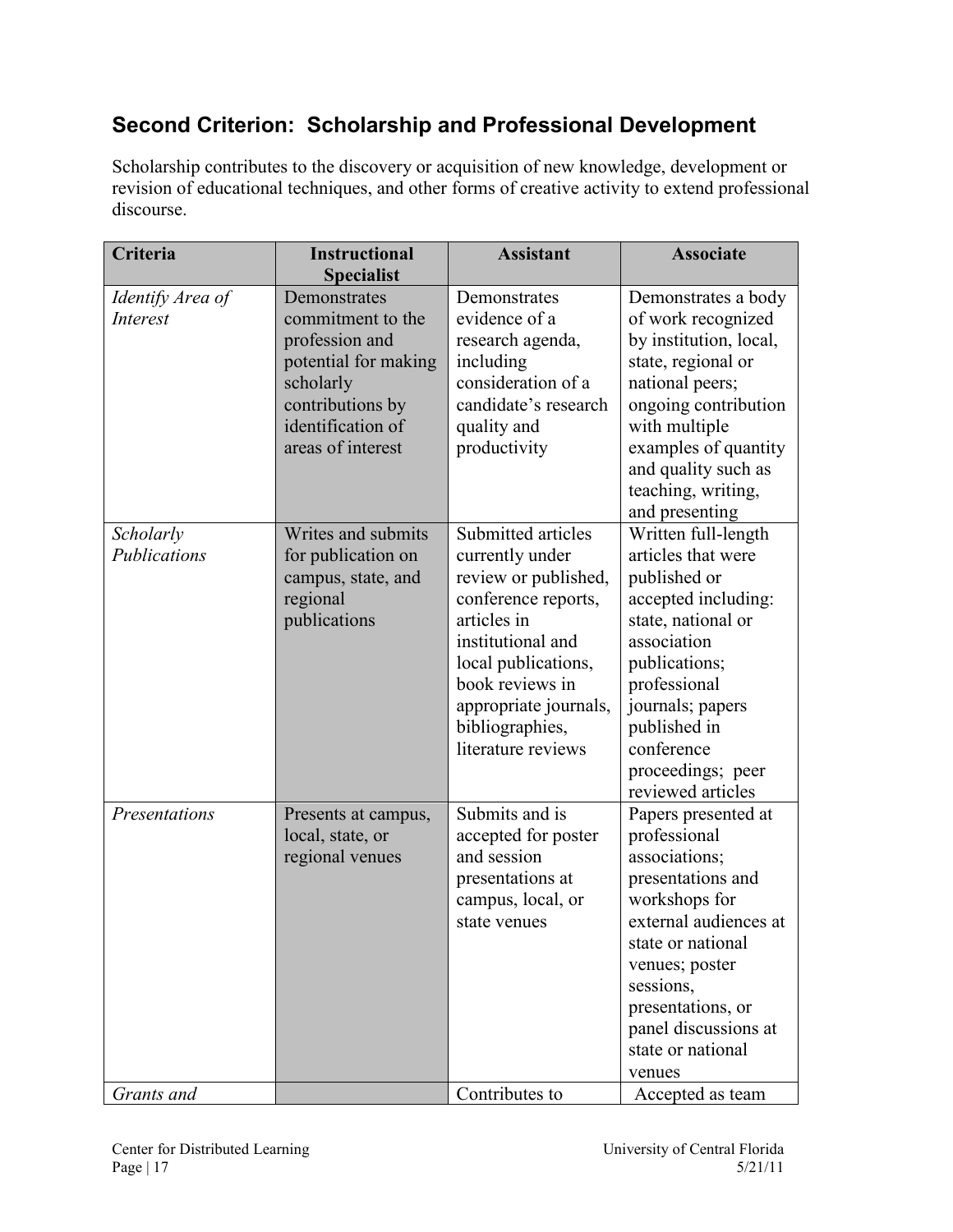### <span id="page-16-0"></span>**Second Criterion: Scholarship and Professional Development**

Scholarship contributes to the discovery or acquisition of new knowledge, development or revision of educational techniques, and other forms of creative activity to extend professional discourse.

| Criteria                            | <b>Instructional</b>                                                                                                                                   | <b>Assistant</b>                                                                                                                                                                                                                     | <b>Associate</b>                                                                                                                                                                                                                                    |
|-------------------------------------|--------------------------------------------------------------------------------------------------------------------------------------------------------|--------------------------------------------------------------------------------------------------------------------------------------------------------------------------------------------------------------------------------------|-----------------------------------------------------------------------------------------------------------------------------------------------------------------------------------------------------------------------------------------------------|
|                                     | <b>Specialist</b>                                                                                                                                      |                                                                                                                                                                                                                                      |                                                                                                                                                                                                                                                     |
| Identify Area of<br><b>Interest</b> | Demonstrates<br>commitment to the<br>profession and<br>potential for making<br>scholarly<br>contributions by<br>identification of<br>areas of interest | Demonstrates<br>evidence of a<br>research agenda,<br>including<br>consideration of a<br>candidate's research<br>quality and<br>productivity                                                                                          | Demonstrates a body<br>of work recognized<br>by institution, local,<br>state, regional or<br>national peers;<br>ongoing contribution<br>with multiple<br>examples of quantity<br>and quality such as<br>teaching, writing,<br>and presenting        |
| Scholarly<br>Publications           | Writes and submits<br>for publication on<br>campus, state, and<br>regional<br>publications                                                             | Submitted articles<br>currently under<br>review or published,<br>conference reports,<br>articles in<br>institutional and<br>local publications,<br>book reviews in<br>appropriate journals,<br>bibliographies,<br>literature reviews | Written full-length<br>articles that were<br>published or<br>accepted including:<br>state, national or<br>association<br>publications;<br>professional<br>journals; papers<br>published in<br>conference<br>proceedings; peer<br>reviewed articles  |
| Presentations                       | Presents at campus,<br>local, state, or<br>regional venues                                                                                             | Submits and is<br>accepted for poster<br>and session<br>presentations at<br>campus, local, or<br>state venues                                                                                                                        | Papers presented at<br>professional<br>associations;<br>presentations and<br>workshops for<br>external audiences at<br>state or national<br>venues; poster<br>sessions,<br>presentations, or<br>panel discussions at<br>state or national<br>venues |
| Grants and                          |                                                                                                                                                        | Contributes to                                                                                                                                                                                                                       | Accepted as team                                                                                                                                                                                                                                    |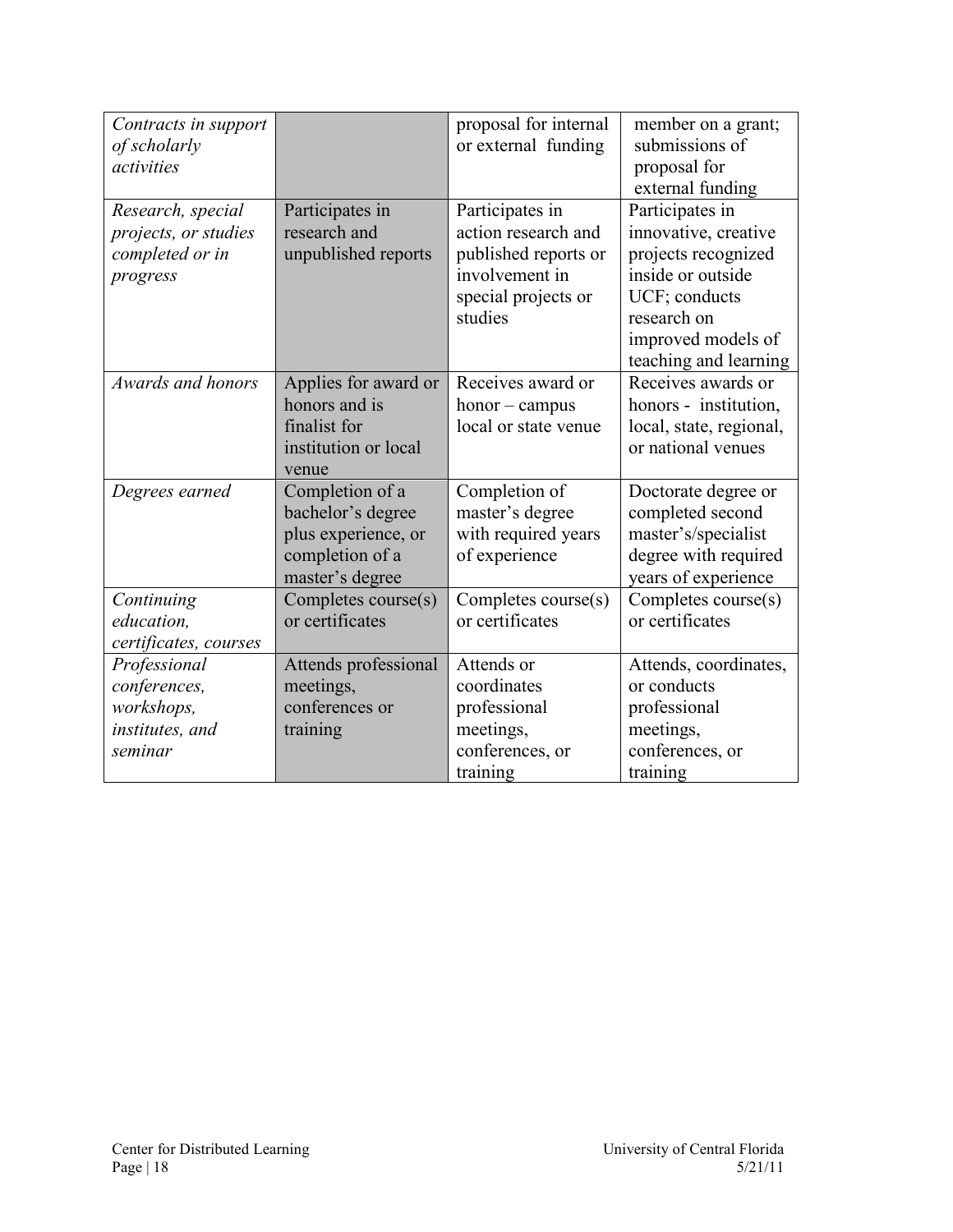| Contracts in support<br>of scholarly<br>activities                       |                                                                                                   | proposal for internal<br>or external funding                                                                       | member on a grant;<br>submissions of<br>proposal for<br>external funding                                                                                           |
|--------------------------------------------------------------------------|---------------------------------------------------------------------------------------------------|--------------------------------------------------------------------------------------------------------------------|--------------------------------------------------------------------------------------------------------------------------------------------------------------------|
| Research, special<br>projects, or studies<br>completed or in<br>progress | Participates in<br>research and<br>unpublished reports                                            | Participates in<br>action research and<br>published reports or<br>involvement in<br>special projects or<br>studies | Participates in<br>innovative, creative<br>projects recognized<br>inside or outside<br>UCF; conducts<br>research on<br>improved models of<br>teaching and learning |
| Awards and honors                                                        | Applies for award or<br>honors and is<br>finalist for<br>institution or local<br>venue            | Receives award or<br>$h$ onor – campus<br>local or state venue                                                     | Receives awards or<br>honors - institution,<br>local, state, regional,<br>or national venues                                                                       |
| Degrees earned                                                           | Completion of a<br>bachelor's degree<br>plus experience, or<br>completion of a<br>master's degree | Completion of<br>master's degree<br>with required years<br>of experience                                           | Doctorate degree or<br>completed second<br>master's/specialist<br>degree with required<br>years of experience                                                      |
| Continuing<br>education,<br>certificates, courses                        | Completes course(s)<br>or certificates                                                            | Completes course(s)<br>or certificates                                                                             | Completes course(s)<br>or certificates                                                                                                                             |
| Professional<br>conferences,<br>workshops,<br>institutes, and<br>seminar | Attends professional<br>meetings,<br>conferences or<br>training                                   | Attends or<br>coordinates<br>professional<br>meetings,<br>conferences, or<br>training                              | Attends, coordinates,<br>or conducts<br>professional<br>meetings,<br>conferences, or<br>training                                                                   |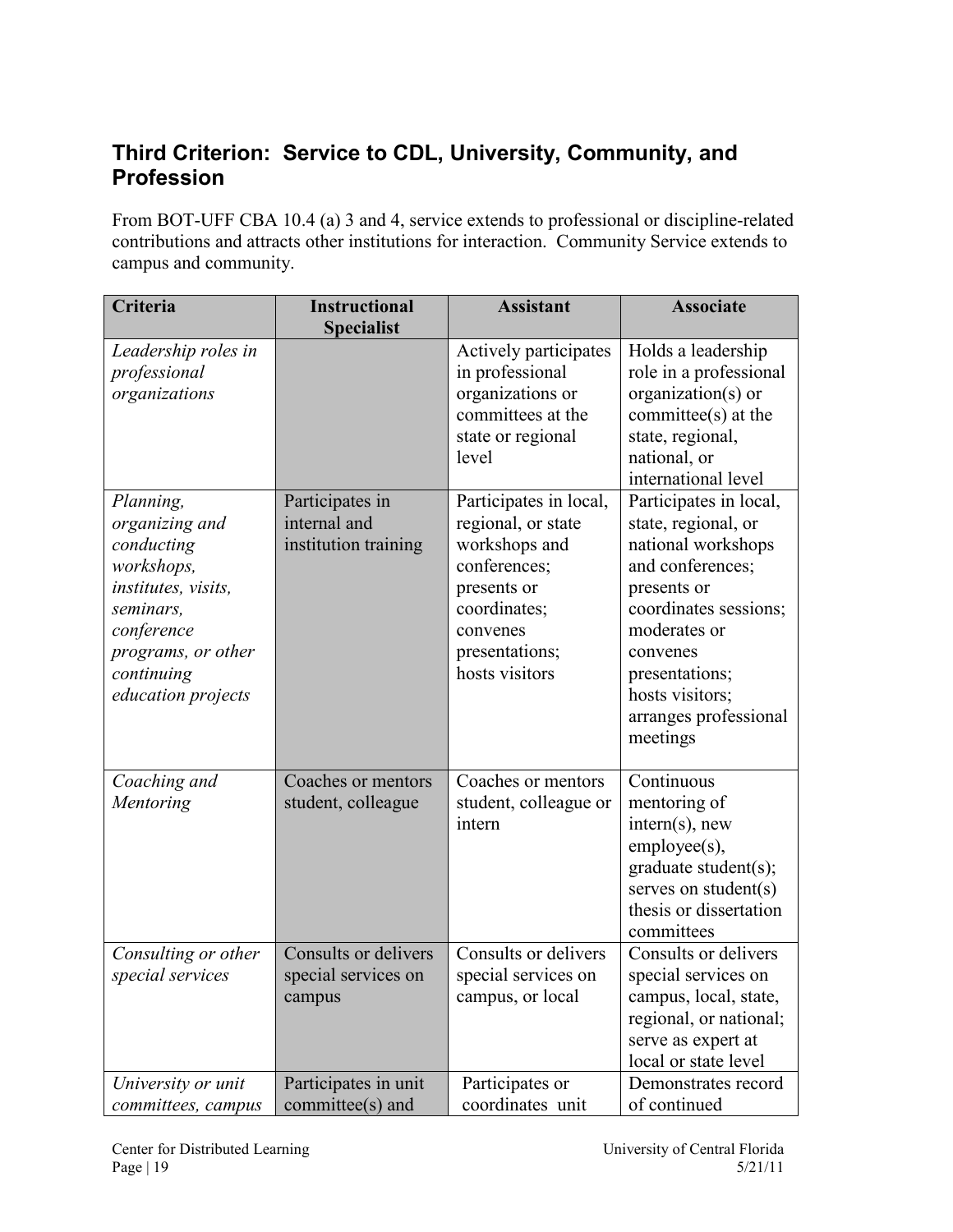### <span id="page-18-0"></span>**Third Criterion: Service to CDL, University, Community, and Profession**

From BOT-UFF CBA 10.4 (a) 3 and 4, service extends to professional or discipline-related contributions and attracts other institutions for interaction. Community Service extends to campus and community.

| Criteria                                                                                                                                                            | <b>Instructional</b><br><b>Specialist</b>               | <b>Assistant</b>                                                                                                                                             | <b>Associate</b>                                                                                                                                                                                                                      |
|---------------------------------------------------------------------------------------------------------------------------------------------------------------------|---------------------------------------------------------|--------------------------------------------------------------------------------------------------------------------------------------------------------------|---------------------------------------------------------------------------------------------------------------------------------------------------------------------------------------------------------------------------------------|
| Leadership roles in<br>professional<br>organizations                                                                                                                |                                                         | Actively participates<br>in professional<br>organizations or<br>committees at the<br>state or regional<br>level                                              | Holds a leadership<br>role in a professional<br>organization(s) or<br>committee(s) at the<br>state, regional,<br>national, or<br>international level                                                                                  |
| Planning,<br>organizing and<br>conducting<br>workshops,<br>institutes, visits,<br>seminars,<br>conference<br>programs, or other<br>continuing<br>education projects | Participates in<br>internal and<br>institution training | Participates in local,<br>regional, or state<br>workshops and<br>conferences;<br>presents or<br>coordinates;<br>convenes<br>presentations;<br>hosts visitors | Participates in local,<br>state, regional, or<br>national workshops<br>and conferences;<br>presents or<br>coordinates sessions;<br>moderates or<br>convenes<br>presentations;<br>hosts visitors;<br>arranges professional<br>meetings |
| Coaching and<br>Mentoring                                                                                                                                           | Coaches or mentors<br>student, colleague                | Coaches or mentors<br>student, colleague or<br>intern                                                                                                        | Continuous<br>mentoring of<br>$intern(s)$ , new<br>employee(s),<br>graduate student(s);<br>serves on student(s)<br>thesis or dissertation<br>committees                                                                               |
| Consulting or other<br>special services                                                                                                                             | Consults or delivers<br>special services on<br>campus   | Consults or delivers<br>special services on<br>campus, or local                                                                                              | Consults or delivers<br>special services on<br>campus, local, state,<br>regional, or national;<br>serve as expert at<br>local or state level                                                                                          |
| University or unit<br>committees, campus                                                                                                                            | Participates in unit<br>committee(s) and                | Participates or<br>coordinates unit                                                                                                                          | Demonstrates record<br>of continued                                                                                                                                                                                                   |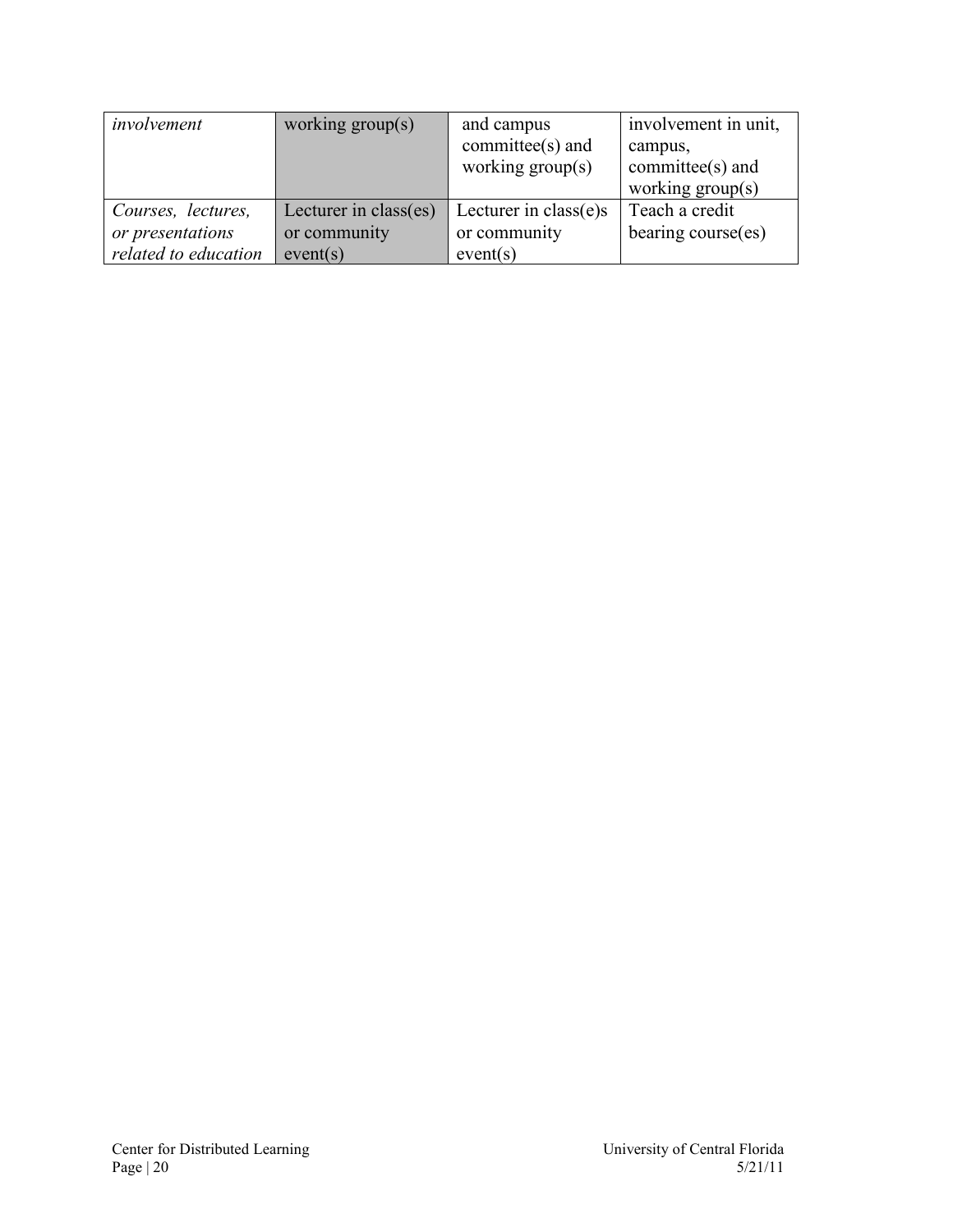| involvement          | working $group(s)$    | and campus<br>committee $(s)$ and<br>working $group(s)$ | involvement in unit,<br>campus,<br>committee $(s)$ and<br>working $group(s)$ |
|----------------------|-----------------------|---------------------------------------------------------|------------------------------------------------------------------------------|
| Courses, lectures,   | Lecturer in class(es) | Lecturer in class(e)s                                   | Teach a credit                                                               |
| or presentations     | or community          | or community                                            | bearing course(es)                                                           |
| related to education | event(s)              | event(s)                                                |                                                                              |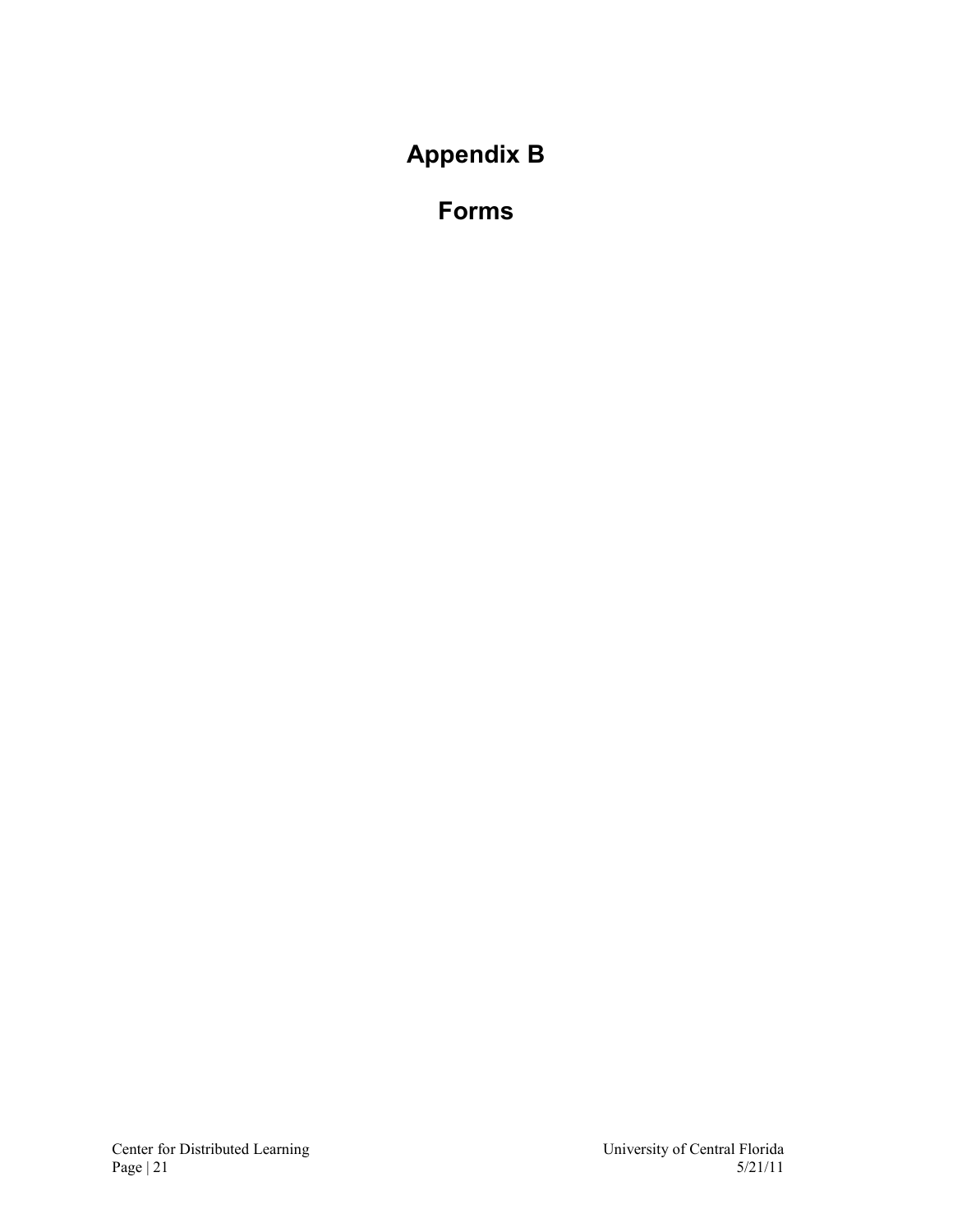<span id="page-20-1"></span><span id="page-20-0"></span>**Appendix B**

**Forms**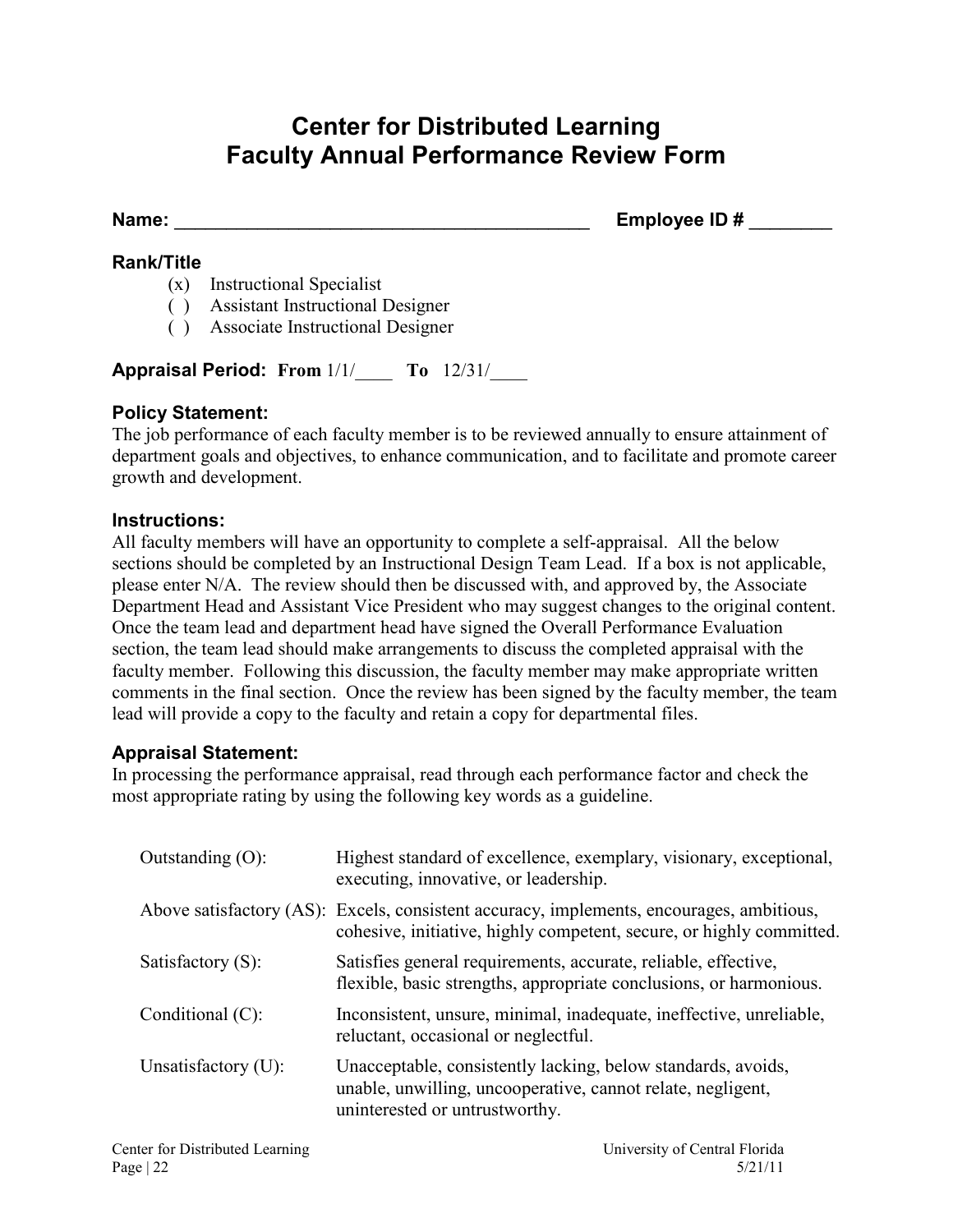### **Center for Distributed Learning Faculty Annual Performance Review Form**

<span id="page-21-0"></span>Name: **Name:**  $\qquad \qquad$  **Employee ID #**  $\qquad \qquad$ 

#### **Rank/Title**

- (x) Instructional Specialist
- ( ) Assistant Instructional Designer
- ( ) Associate Instructional Designer

**Appraisal Period: From** 1/1/\_\_\_\_ **To** 12/31/\_\_\_\_

#### **Policy Statement:**

The job performance of each faculty member is to be reviewed annually to ensure attainment of department goals and objectives, to enhance communication, and to facilitate and promote career growth and development.

#### **Instructions:**

All faculty members will have an opportunity to complete a self-appraisal. All the below sections should be completed by an Instructional Design Team Lead. If a box is not applicable, please enter N/A. The review should then be discussed with, and approved by, the Associate Department Head and Assistant Vice President who may suggest changes to the original content. Once the team lead and department head have signed the Overall Performance Evaluation section, the team lead should make arrangements to discuss the completed appraisal with the faculty member. Following this discussion, the faculty member may make appropriate written comments in the final section. Once the review has been signed by the faculty member, the team lead will provide a copy to the faculty and retain a copy for departmental files.

#### **Appraisal Statement:**

In processing the performance appraisal, read through each performance factor and check the most appropriate rating by using the following key words as a guideline.

| Outstanding $(O)$ :    | Highest standard of excellence, exemplary, visionary, exceptional,<br>executing, innovative, or leadership.                                                      |
|------------------------|------------------------------------------------------------------------------------------------------------------------------------------------------------------|
|                        | Above satisfactory (AS): Excels, consistent accuracy, implements, encourages, ambitious,<br>cohesive, initiative, highly competent, secure, or highly committed. |
| Satisfactory $(S)$ :   | Satisfies general requirements, accurate, reliable, effective,<br>flexible, basic strengths, appropriate conclusions, or harmonious.                             |
| Conditional $(C)$ :    | Inconsistent, unsure, minimal, inadequate, ineffective, unreliable,<br>reluctant, occasional or neglectful.                                                      |
| Unsatisfactory $(U)$ : | Unacceptable, consistently lacking, below standards, avoids,<br>unable, unwilling, uncooperative, cannot relate, negligent,<br>uninterested or untrustworthy.    |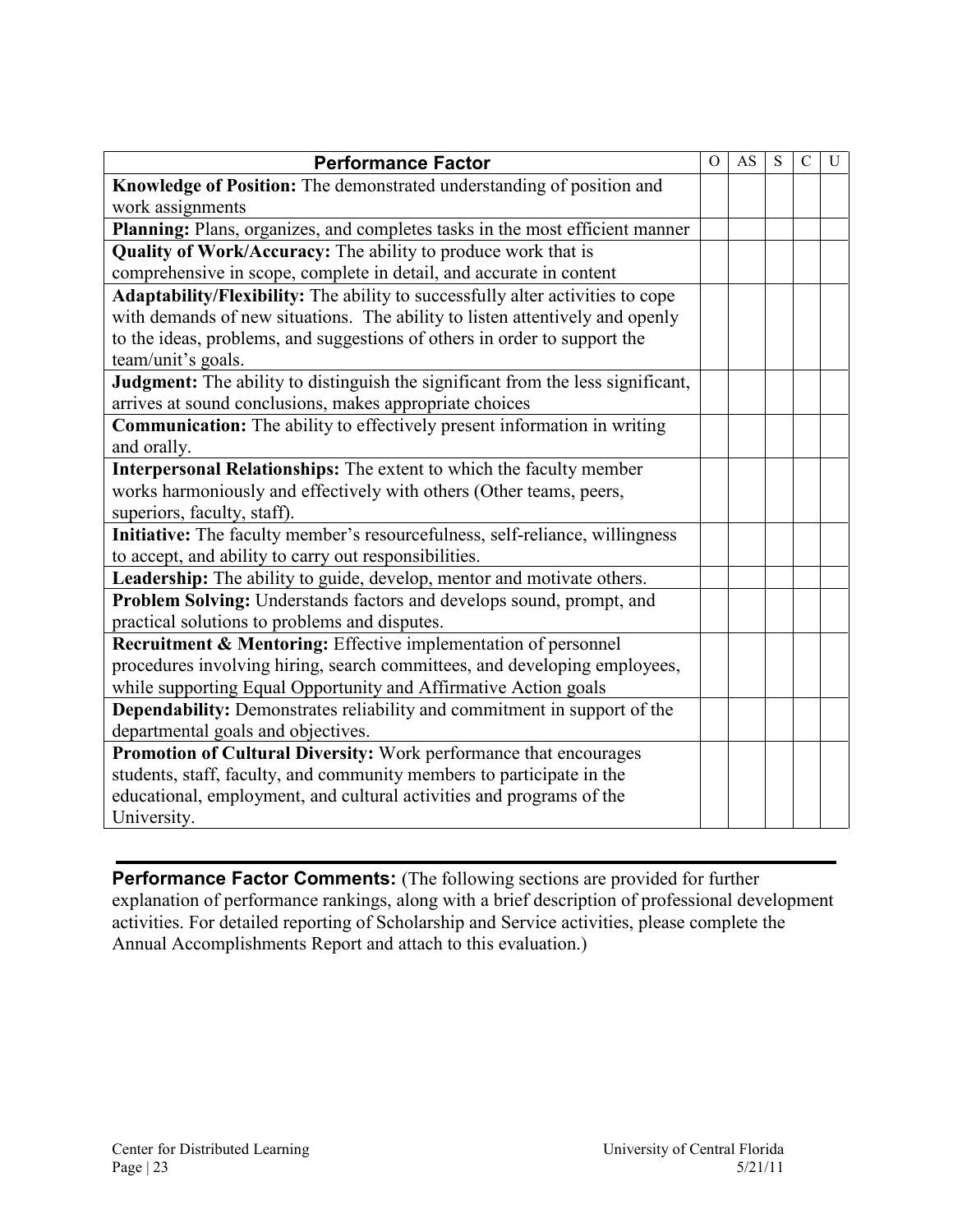| <b>Performance Factor</b>                                                       | $\Omega$ | AS | S | $\mathcal{C}$ | U |
|---------------------------------------------------------------------------------|----------|----|---|---------------|---|
| Knowledge of Position: The demonstrated understanding of position and           |          |    |   |               |   |
| work assignments                                                                |          |    |   |               |   |
| Planning: Plans, organizes, and completes tasks in the most efficient manner    |          |    |   |               |   |
| Quality of Work/Accuracy: The ability to produce work that is                   |          |    |   |               |   |
| comprehensive in scope, complete in detail, and accurate in content             |          |    |   |               |   |
| Adaptability/Flexibility: The ability to successfully alter activities to cope  |          |    |   |               |   |
| with demands of new situations. The ability to listen attentively and openly    |          |    |   |               |   |
| to the ideas, problems, and suggestions of others in order to support the       |          |    |   |               |   |
| team/unit's goals.                                                              |          |    |   |               |   |
| Judgment: The ability to distinguish the significant from the less significant, |          |    |   |               |   |
| arrives at sound conclusions, makes appropriate choices                         |          |    |   |               |   |
| <b>Communication:</b> The ability to effectively present information in writing |          |    |   |               |   |
| and orally.                                                                     |          |    |   |               |   |
| Interpersonal Relationships: The extent to which the faculty member             |          |    |   |               |   |
| works harmoniously and effectively with others (Other teams, peers,             |          |    |   |               |   |
| superiors, faculty, staff).                                                     |          |    |   |               |   |
| Initiative: The faculty member's resourcefulness, self-reliance, willingness    |          |    |   |               |   |
| to accept, and ability to carry out responsibilities.                           |          |    |   |               |   |
| Leadership: The ability to guide, develop, mentor and motivate others.          |          |    |   |               |   |
| Problem Solving: Understands factors and develops sound, prompt, and            |          |    |   |               |   |
| practical solutions to problems and disputes.                                   |          |    |   |               |   |
| Recruitment & Mentoring: Effective implementation of personnel                  |          |    |   |               |   |
| procedures involving hiring, search committees, and developing employees,       |          |    |   |               |   |
| while supporting Equal Opportunity and Affirmative Action goals                 |          |    |   |               |   |
| <b>Dependability:</b> Demonstrates reliability and commitment in support of the |          |    |   |               |   |
| departmental goals and objectives.                                              |          |    |   |               |   |
| Promotion of Cultural Diversity: Work performance that encourages               |          |    |   |               |   |
| students, staff, faculty, and community members to participate in the           |          |    |   |               |   |
| educational, employment, and cultural activities and programs of the            |          |    |   |               |   |
| University.                                                                     |          |    |   |               |   |

**Performance Factor Comments:** (The following sections are provided for further explanation of performance rankings, along with a brief description of professional development activities. For detailed reporting of Scholarship and Service activities, please complete the Annual Accomplishments Report and attach to this evaluation.)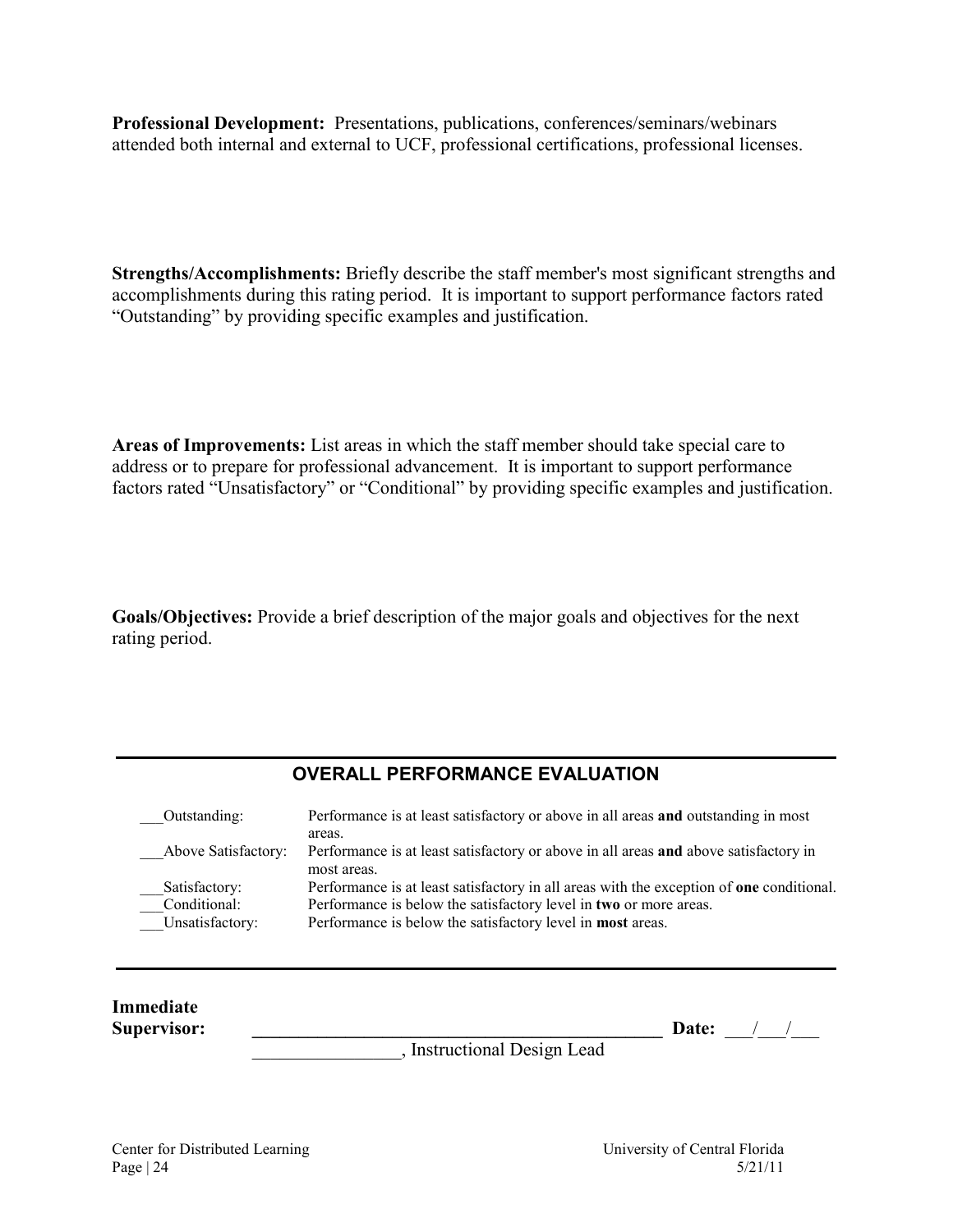**Professional Development:** Presentations, publications, conferences/seminars/webinars attended both internal and external to UCF, professional certifications, professional licenses.

**Strengths/Accomplishments:** Briefly describe the staff member's most significant strengths and accomplishments during this rating period. It is important to support performance factors rated "Outstanding" by providing specific examples and justification.

**Areas of Improvements:** List areas in which the staff member should take special care to address or to prepare for professional advancement. It is important to support performance factors rated "Unsatisfactory" or "Conditional" by providing specific examples and justification.

**Goals/Objectives:** Provide a brief description of the major goals and objectives for the next rating period.

#### **OVERALL PERFORMANCE EVALUATION**

| Outstanding:        | Performance is at least satisfactory or above in all areas and outstanding in most              |
|---------------------|-------------------------------------------------------------------------------------------------|
|                     | areas.                                                                                          |
| Above Satisfactory: | Performance is at least satisfactory or above in all areas and above satisfactory in            |
|                     | most areas.                                                                                     |
| Satisfactory:       | Performance is at least satisfactory in all areas with the exception of <b>one</b> conditional. |
| Conditional:        | Performance is below the satisfactory level in two or more areas.                               |
| Unsatisfactory:     | Performance is below the satisfactory level in most areas.                                      |

| <b>Immediate</b><br>Supervisor: |                             | Date: |  |
|---------------------------------|-----------------------------|-------|--|
|                                 | , Instructional Design Lead |       |  |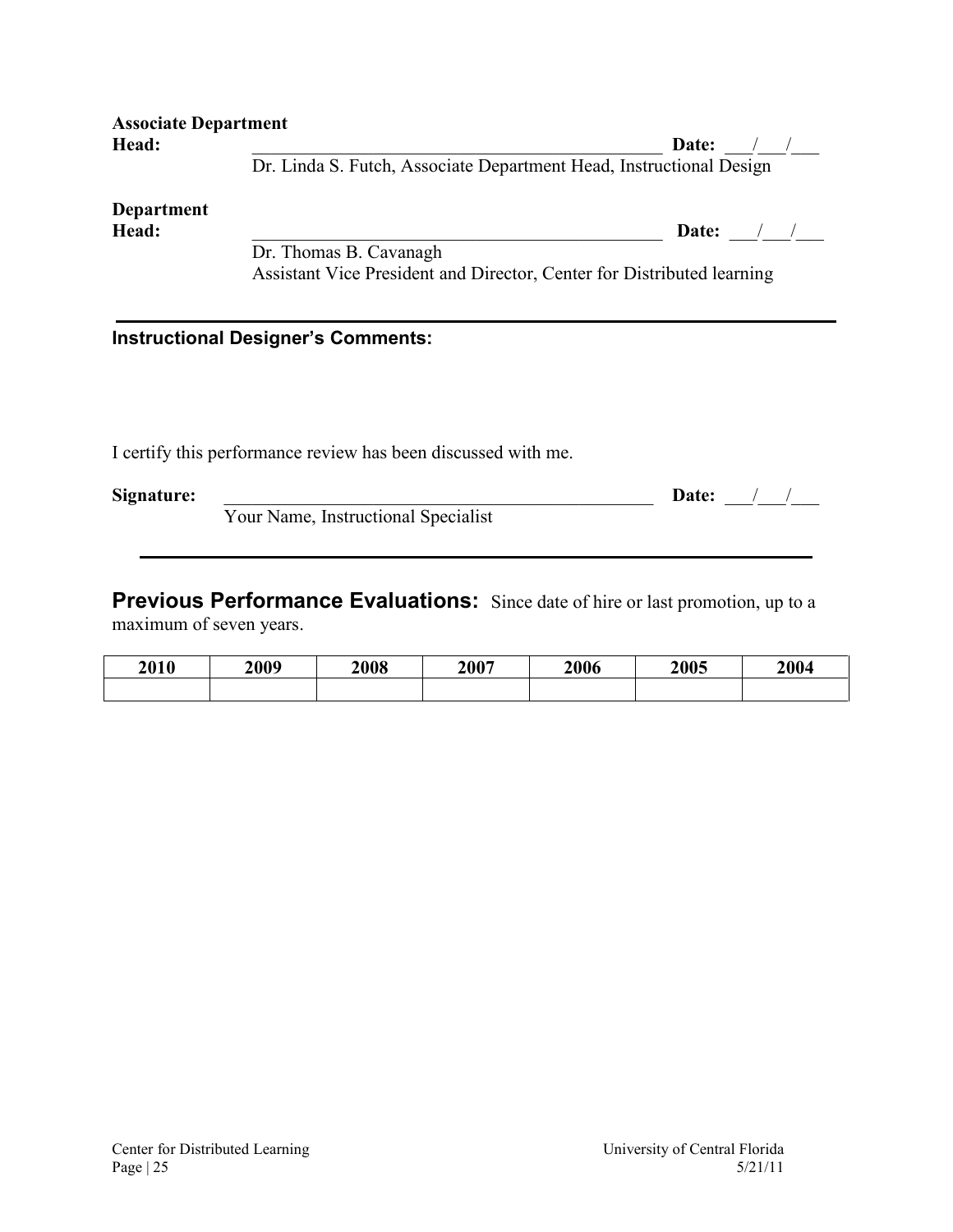| Head:             | Date: /                                                                |  |
|-------------------|------------------------------------------------------------------------|--|
|                   | Dr. Linda S. Futch, Associate Department Head, Instructional Design    |  |
| <b>Department</b> |                                                                        |  |
| Head:             | Date: $/$ /                                                            |  |
|                   | Dr. Thomas B. Cavanagh                                                 |  |
|                   | Assistant Vice President and Director, Center for Distributed learning |  |
|                   |                                                                        |  |
|                   | <b>Instructional Designer's Comments:</b>                              |  |
|                   |                                                                        |  |
|                   |                                                                        |  |
|                   |                                                                        |  |

| Signature: |                                     | Date: |  |
|------------|-------------------------------------|-------|--|
|            | Your Name, Instructional Specialist |       |  |

**Previous Performance Evaluations:** Since date of hire or last promotion, up to a maximum of seven years.

| 2010 | 2009 | 2008 | 2007 | 2006 | 2005 | 2004 |
|------|------|------|------|------|------|------|
|      |      |      |      |      |      |      |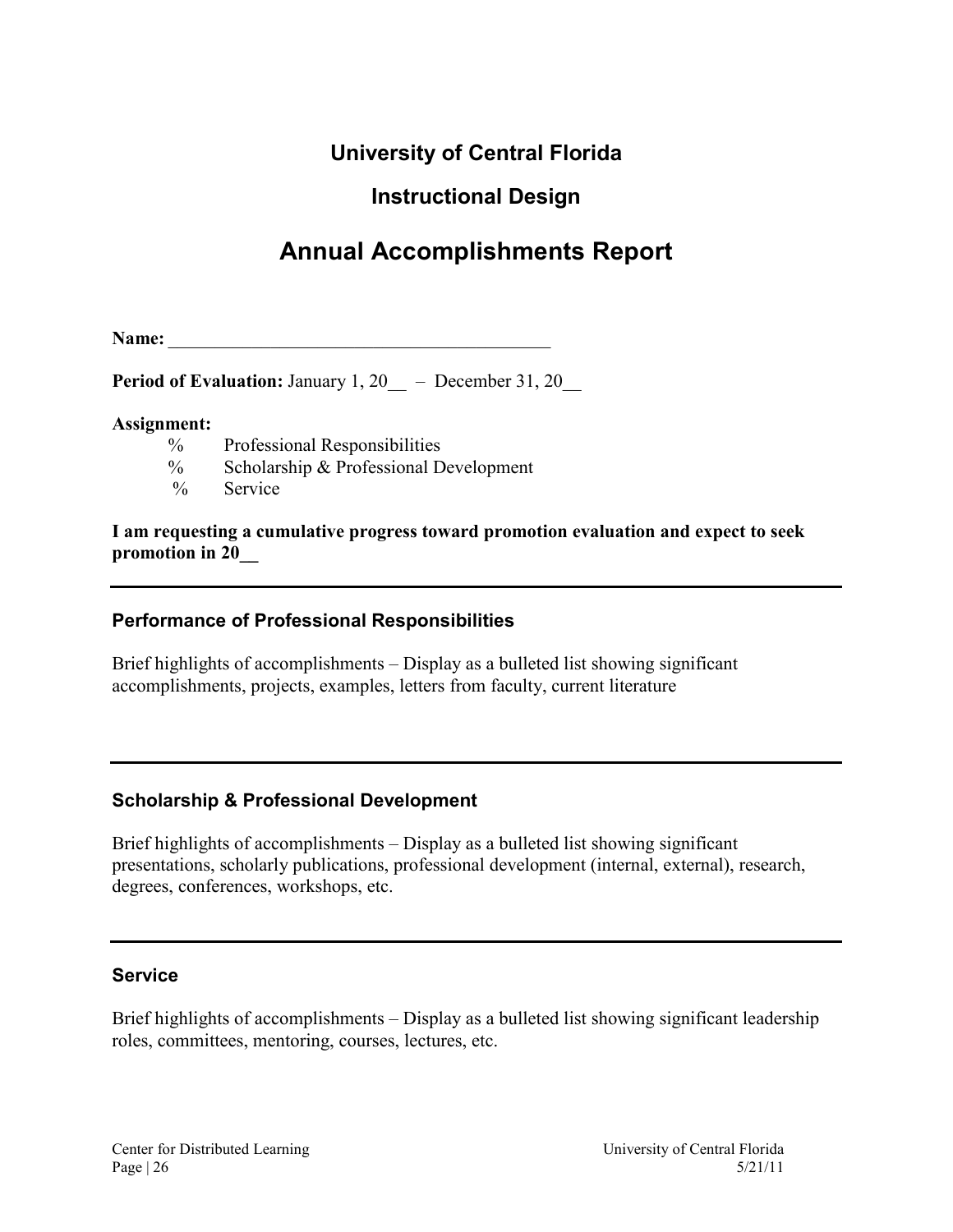### **University of Central Florida**

### **Instructional Design**

# **Annual Accomplishments Report**

<span id="page-25-0"></span>**Name:** \_\_\_\_\_\_\_\_\_\_\_\_\_\_\_\_\_\_\_\_\_\_\_\_\_\_\_\_\_\_\_\_\_\_\_\_\_\_\_\_\_

**Period of Evaluation:** January 1, 20 – December 31, 20

#### **Assignment:**

- % Professional Responsibilities
- % Scholarship & Professional Development<br>% Service
- Service

**I am requesting a cumulative progress toward promotion evaluation and expect to seek promotion in 20\_\_** 

#### **Performance of Professional Responsibilities**

Brief highlights of accomplishments – Display as a bulleted list showing significant accomplishments, projects, examples, letters from faculty, current literature

#### **Scholarship & Professional Development**

Brief highlights of accomplishments – Display as a bulleted list showing significant presentations, scholarly publications, professional development (internal, external), research, degrees, conferences, workshops, etc.

#### **Service**

Brief highlights of accomplishments – Display as a bulleted list showing significant leadership roles, committees, mentoring, courses, lectures, etc.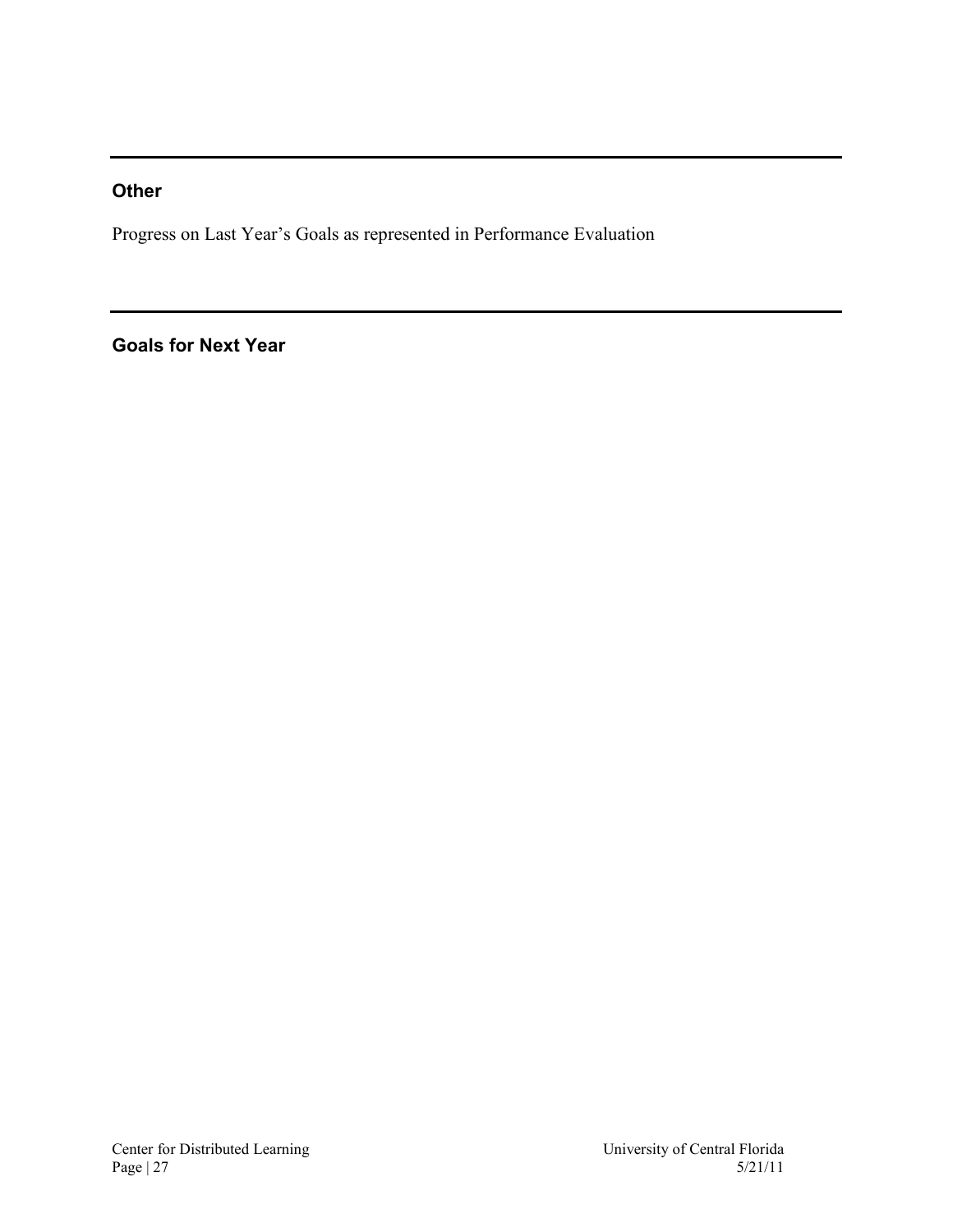### **Other**

Progress on Last Year's Goals as represented in Performance Evaluation

### **Goals for Next Year**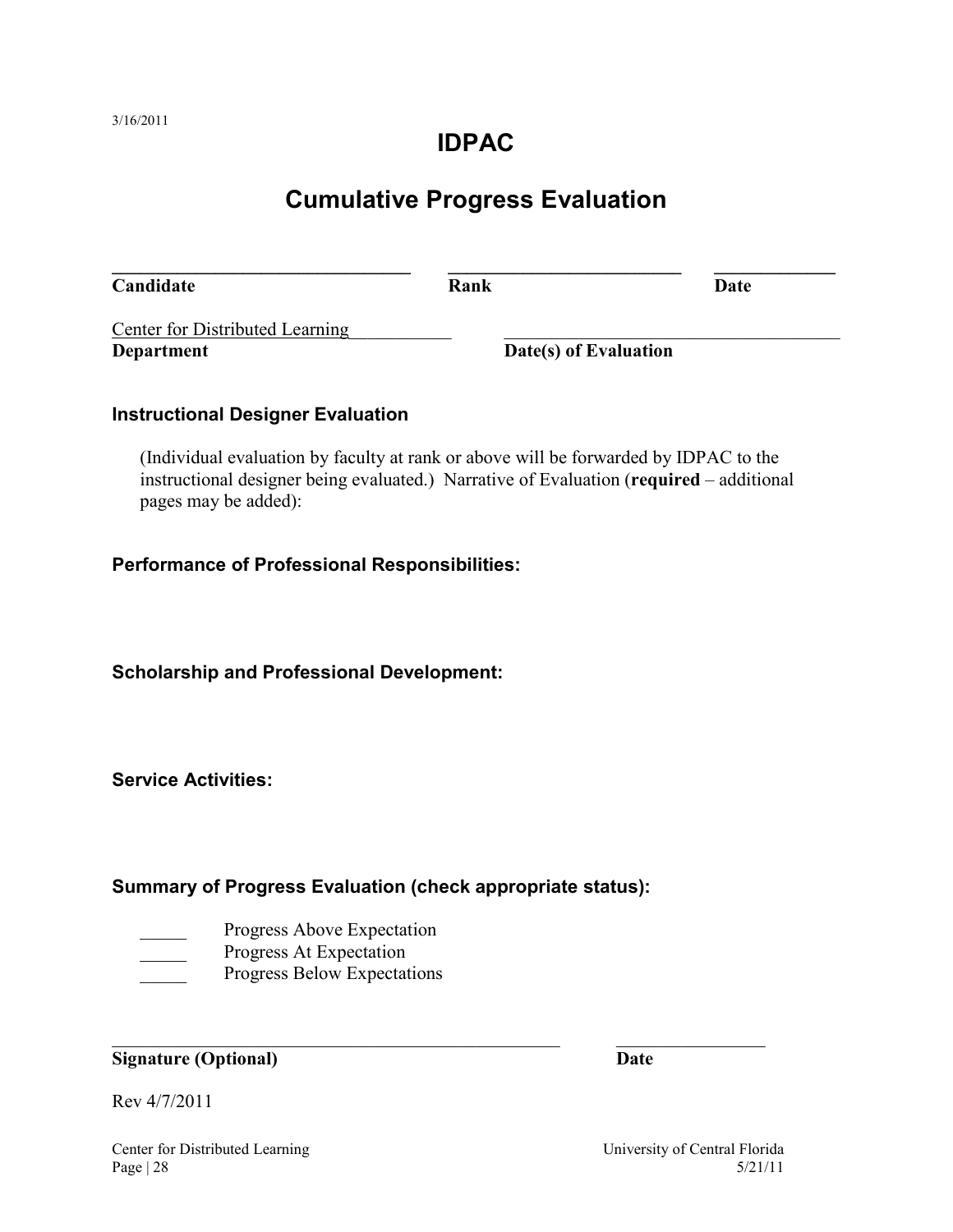### **IDPAC**

# **Cumulative Progress Evaluation**

<span id="page-27-0"></span>**\_\_\_\_\_\_\_\_\_\_\_\_\_\_\_\_\_\_\_\_\_\_\_\_\_\_\_\_\_\_\_\_ \_\_\_\_\_\_\_\_\_\_\_\_\_\_\_\_\_\_\_\_\_\_\_\_\_ \_\_\_\_\_\_\_\_\_\_\_\_\_ Candidate Rank Date** Center for Distributed Learning **Department Date(s) of Evaluation** 

#### **Instructional Designer Evaluation**

(Individual evaluation by faculty at rank or above will be forwarded by IDPAC to the instructional designer being evaluated.) Narrative of Evaluation (**required** – additional pages may be added):

#### **Performance of Professional Responsibilities:**

**Scholarship and Professional Development:**

**Service Activities:**

#### **Summary of Progress Evaluation (check appropriate status):**

- Progress Above Expectation
- Progress At Expectation
- Progress Below Expectations

#### **Signature (Optional) Date**

Rev 4/7/2011

Center for Distributed Learning University of Central Florida

 $Page | 28$  5/21/11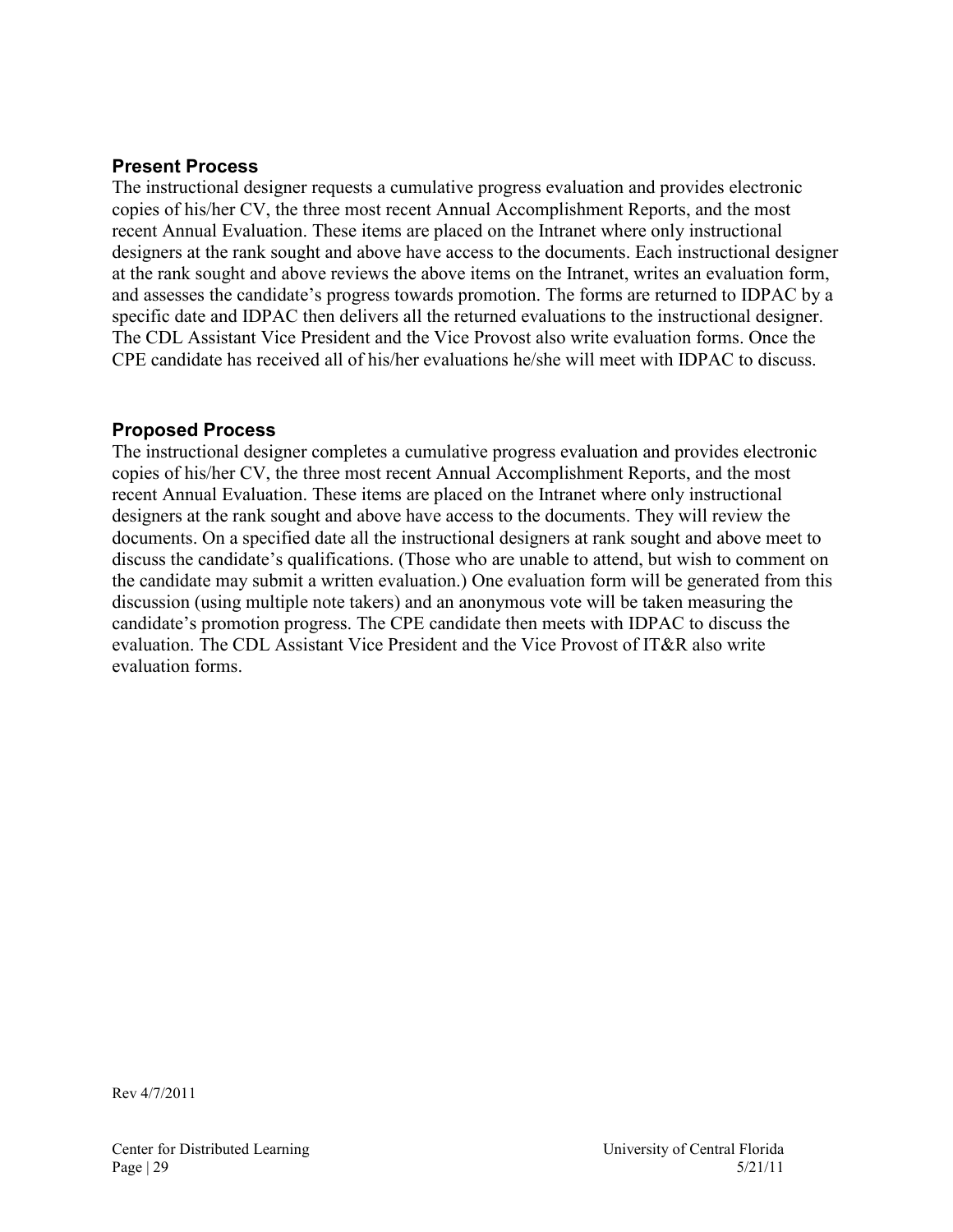#### **Present Process**

The instructional designer requests a cumulative progress evaluation and provides electronic copies of his/her CV, the three most recent Annual Accomplishment Reports, and the most recent Annual Evaluation. These items are placed on the Intranet where only instructional designers at the rank sought and above have access to the documents. Each instructional designer at the rank sought and above reviews the above items on the Intranet, writes an evaluation form, and assesses the candidate's progress towards promotion. The forms are returned to IDPAC by a specific date and IDPAC then delivers all the returned evaluations to the instructional designer. The CDL Assistant Vice President and the Vice Provost also write evaluation forms. Once the CPE candidate has received all of his/her evaluations he/she will meet with IDPAC to discuss.

#### **Proposed Process**

The instructional designer completes a cumulative progress evaluation and provides electronic copies of his/her CV, the three most recent Annual Accomplishment Reports, and the most recent Annual Evaluation. These items are placed on the Intranet where only instructional designers at the rank sought and above have access to the documents. They will review the documents. On a specified date all the instructional designers at rank sought and above meet to discuss the candidate's qualifications. (Those who are unable to attend, but wish to comment on the candidate may submit a written evaluation.) One evaluation form will be generated from this discussion (using multiple note takers) and an anonymous vote will be taken measuring the candidate's promotion progress. The CPE candidate then meets with IDPAC to discuss the evaluation. The CDL Assistant Vice President and the Vice Provost of IT&R also write evaluation forms.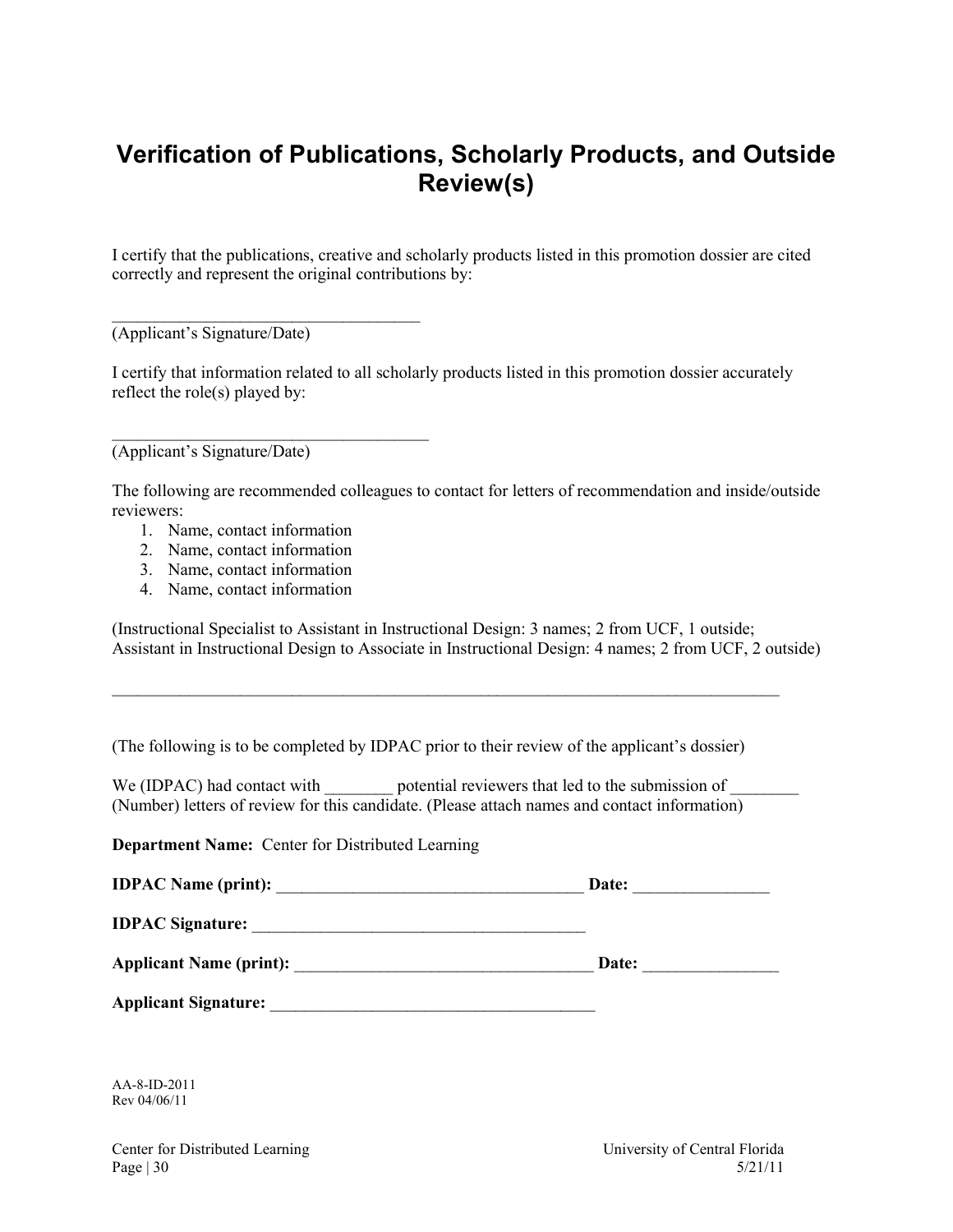## <span id="page-29-0"></span>**Verification of Publications, Scholarly Products, and Outside Review(s)**

I certify that the publications, creative and scholarly products listed in this promotion dossier are cited correctly and represent the original contributions by:

(Applicant's Signature/Date)

\_\_\_\_\_\_\_\_\_\_\_\_\_\_\_\_\_\_\_\_\_\_\_\_\_\_\_\_\_\_\_\_\_\_\_\_

 $\mathcal{L}_\text{max}$  , where  $\mathcal{L}_\text{max}$  , we are the set of the set of the set of the set of the set of the set of the set of the set of the set of the set of the set of the set of the set of the set of the set of the set of

I certify that information related to all scholarly products listed in this promotion dossier accurately reflect the role(s) played by:

(Applicant's Signature/Date)

The following are recommended colleagues to contact for letters of recommendation and inside/outside reviewers:

- 1. Name, contact information
- 2. Name, contact information
- 3. Name, contact information
- 4. Name, contact information

(Instructional Specialist to Assistant in Instructional Design: 3 names; 2 from UCF, 1 outside; Assistant in Instructional Design to Associate in Instructional Design: 4 names; 2 from UCF, 2 outside)

(The following is to be completed by IDPAC prior to their review of the applicant's dossier)

We (IDPAC) had contact with potential reviewers that led to the submission of (Number) letters of review for this candidate. (Please attach names and contact information)

\_\_\_\_\_\_\_\_\_\_\_\_\_\_\_\_\_\_\_\_\_\_\_\_\_\_\_\_\_\_\_\_\_\_\_\_\_\_\_\_\_\_\_\_\_\_\_\_\_\_\_\_\_\_\_\_\_\_\_\_\_\_\_\_\_\_\_\_\_\_\_\_\_\_\_\_\_\_

**Department Name:** Center for Distributed Learning

|                            | Date: |
|----------------------------|-------|
|                            |       |
|                            |       |
| $\cdots$ $\cdots$ $\cdots$ |       |

AA-8-ID-2011 Rev 04/06/11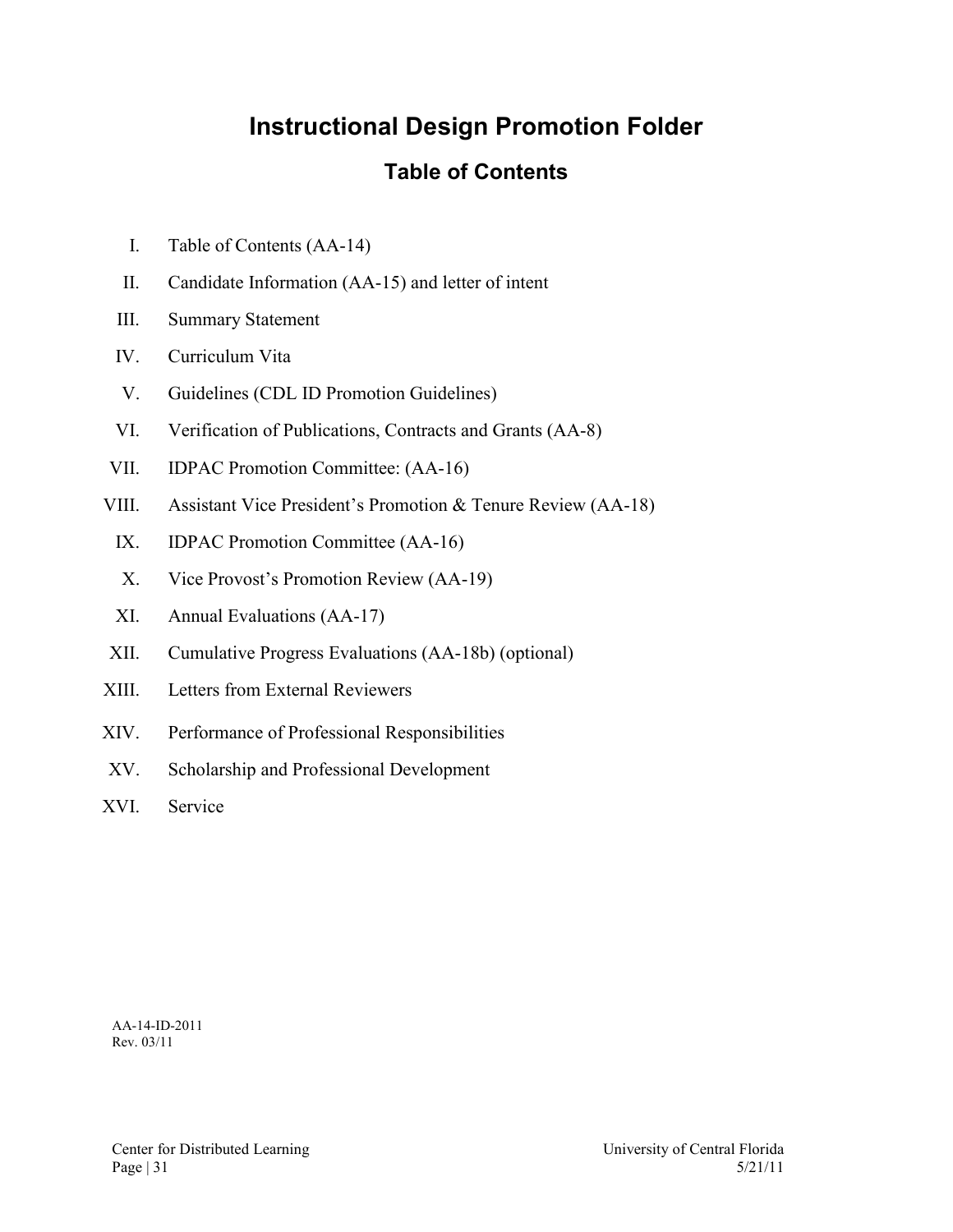# **Instructional Design Promotion Folder**

### **Table of Contents**

- <span id="page-30-0"></span>I. Table of Contents (AA-14)
- II. Candidate Information (AA-15) and letter of intent
- III. Summary Statement
- IV. Curriculum Vita
- V. Guidelines (CDL ID Promotion Guidelines)
- VI. Verification of Publications, Contracts and Grants (AA-8)
- VII. IDPAC Promotion Committee: (AA-16)
- VIII. Assistant Vice President's Promotion & Tenure Review (AA-18)
	- IX. IDPAC Promotion Committee (AA-16)
	- X. Vice Provost's Promotion Review (AA-19)
	- XI. Annual Evaluations (AA-17)
- XII. Cumulative Progress Evaluations (AA-18b) (optional)
- XIII. Letters from External Reviewers
- XIV. Performance of Professional Responsibilities
- XV. Scholarship and Professional Development
- XVI. Service

AA-14-ID-2011 Rev. 03/11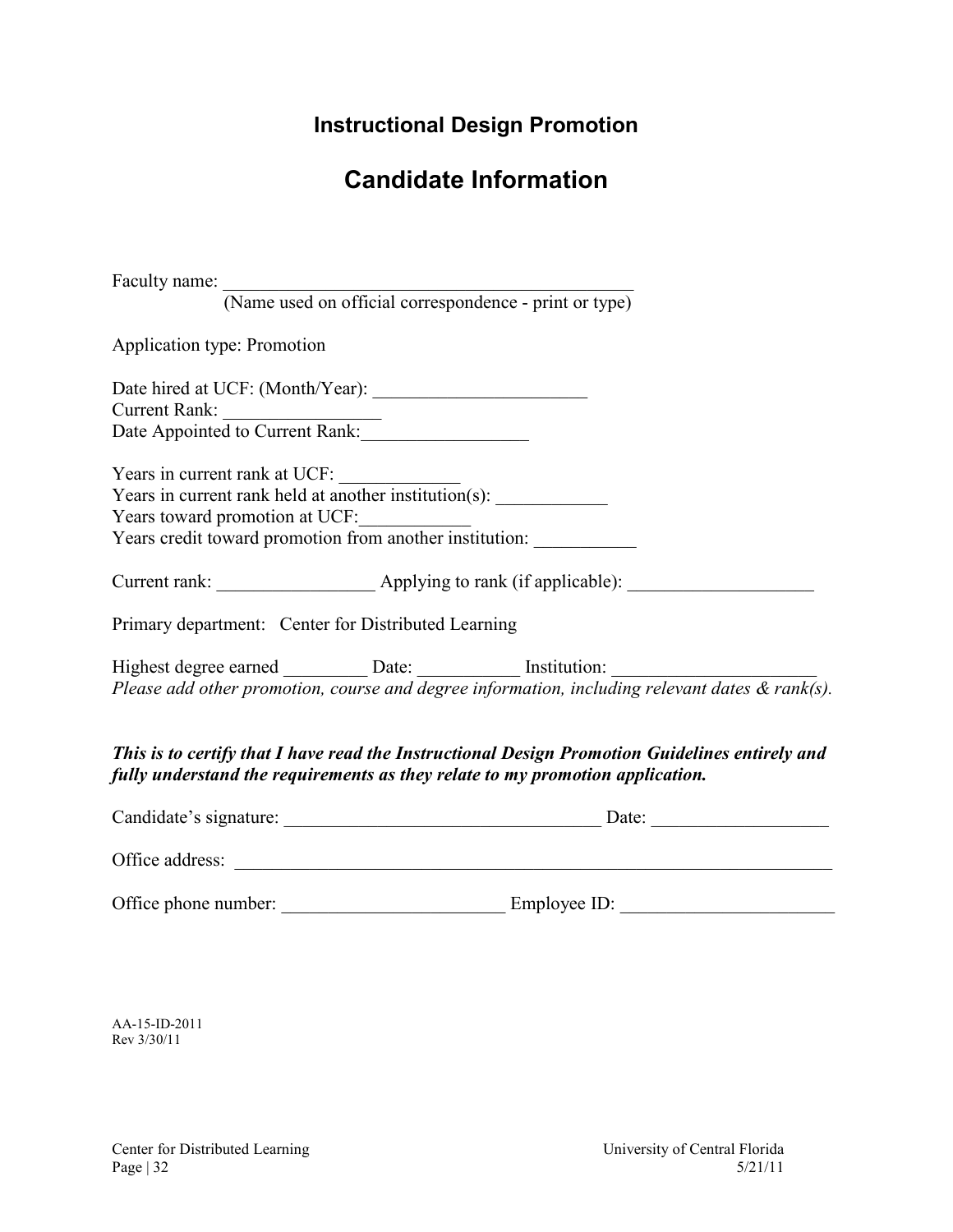## **Instructional Design Promotion**

# **Candidate Information**

<span id="page-31-0"></span>

| Faculty name:                                                                                                                                                                   |  |
|---------------------------------------------------------------------------------------------------------------------------------------------------------------------------------|--|
| (Name used on official correspondence - print or type)                                                                                                                          |  |
| Application type: Promotion                                                                                                                                                     |  |
|                                                                                                                                                                                 |  |
|                                                                                                                                                                                 |  |
| Current Rank:<br>Date Appointed to Current Rank:                                                                                                                                |  |
| Years in current rank at UCF:<br>Years in current rank held at another institution(s):                                                                                          |  |
|                                                                                                                                                                                 |  |
|                                                                                                                                                                                 |  |
| Years toward promotion at UCF:<br>Years credit toward promotion from another institution:                                                                                       |  |
| Current rank: __________________________ Applying to rank (if applicable): ________________________                                                                             |  |
| Primary department: Center for Distributed Learning                                                                                                                             |  |
| Highest degree earned $\frac{\text{Date:}}{\text{Please add other promotion, course and degree information, including relevant dates & rank(s).}}$                              |  |
|                                                                                                                                                                                 |  |
| This is to certify that I have read the Instructional Design Promotion Guidelines entirely and<br>fully understand the requirements as they relate to my promotion application. |  |
|                                                                                                                                                                                 |  |
| Office address:                                                                                                                                                                 |  |
|                                                                                                                                                                                 |  |

AA-15-ID-2011 Rev 3/30/11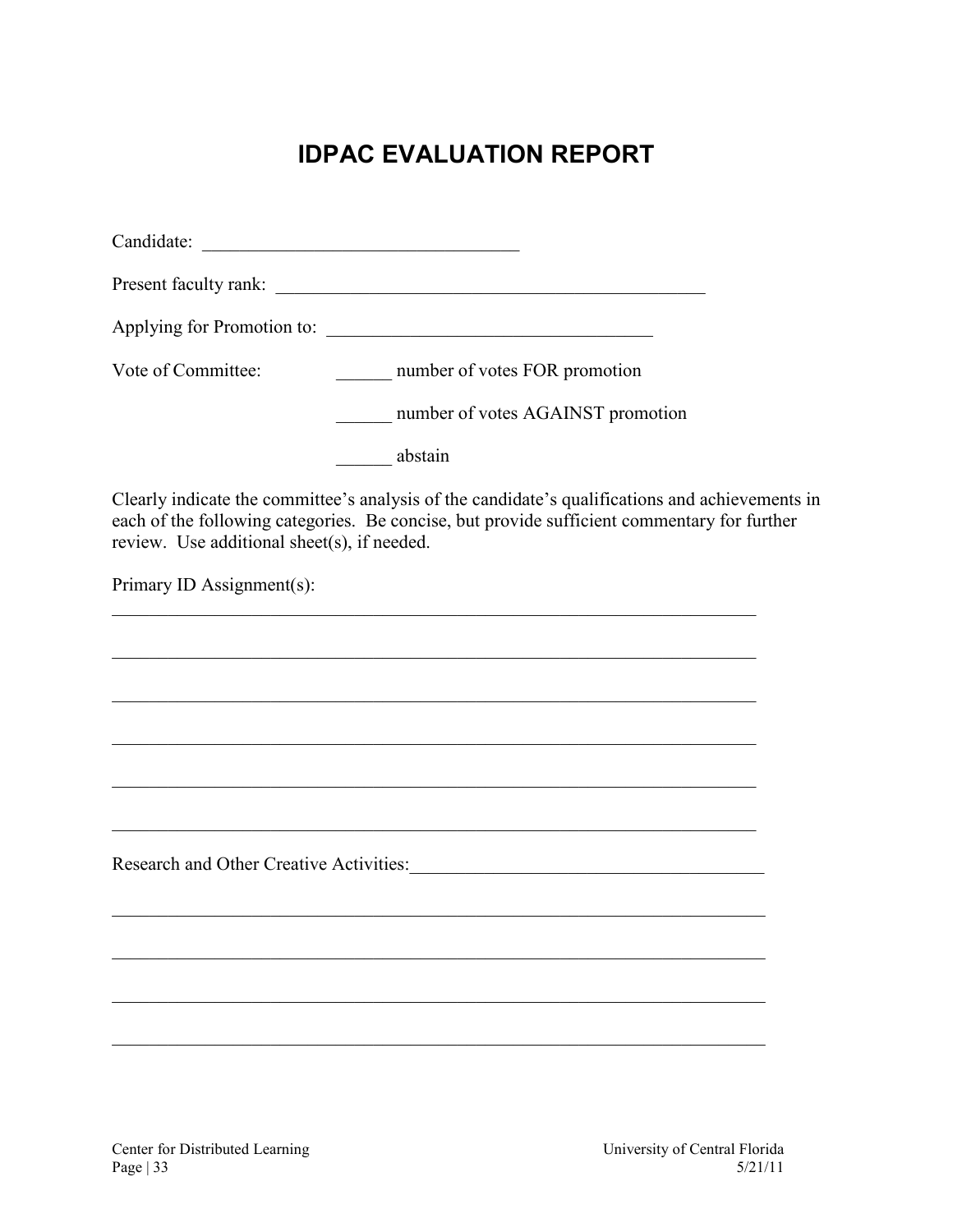# **IDPAC EVALUATION REPORT**

<span id="page-32-0"></span>

| Vote of Committee:                          | number of votes FOR promotion                                                                                                                                                                  |
|---------------------------------------------|------------------------------------------------------------------------------------------------------------------------------------------------------------------------------------------------|
|                                             | number of votes AGAINST promotion                                                                                                                                                              |
|                                             | _____ abstain                                                                                                                                                                                  |
| review. Use additional sheet(s), if needed. | Clearly indicate the committee's analysis of the candidate's qualifications and achievements in<br>each of the following categories. Be concise, but provide sufficient commentary for further |
| Primary ID Assignment(s):                   |                                                                                                                                                                                                |
|                                             |                                                                                                                                                                                                |
|                                             |                                                                                                                                                                                                |
|                                             |                                                                                                                                                                                                |
|                                             | <u> 1989 - Johann Stoff, amerikansk politiker (d. 1989)</u>                                                                                                                                    |
|                                             |                                                                                                                                                                                                |
|                                             | <u> 1989 - Johann Stoff, amerikansk politiker (d. 1989)</u>                                                                                                                                    |
|                                             |                                                                                                                                                                                                |
|                                             |                                                                                                                                                                                                |
|                                             |                                                                                                                                                                                                |
|                                             |                                                                                                                                                                                                |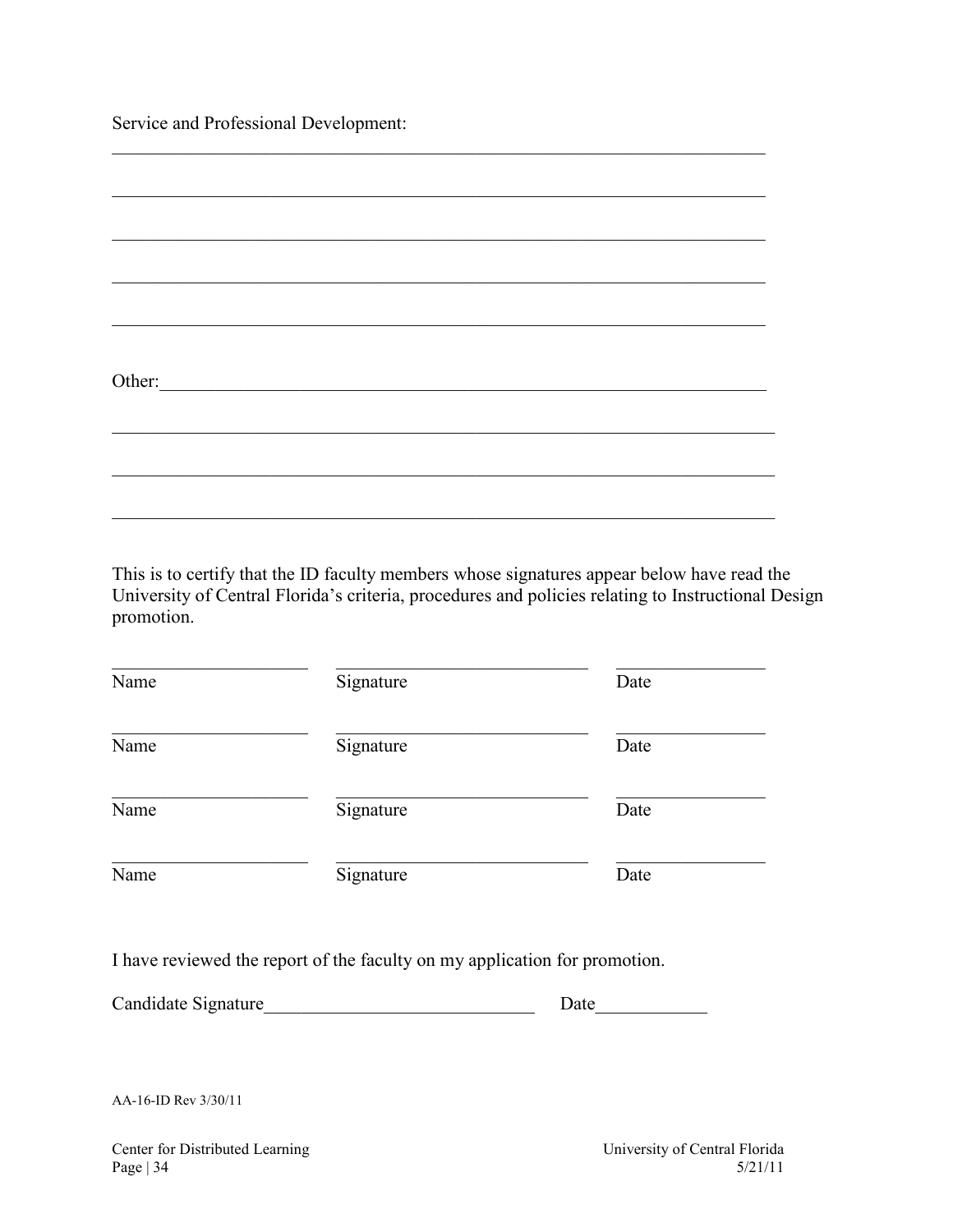Service and Professional Development:

| Other: |  |  |  |
|--------|--|--|--|
|        |  |  |  |
|        |  |  |  |
|        |  |  |  |
|        |  |  |  |
|        |  |  |  |
|        |  |  |  |
|        |  |  |  |
|        |  |  |  |

This is to certify that the ID faculty members whose signatures appear below have read the University of Central Florida's criteria, procedures and policies relating to Instructional Design promotion.

| Name | Signature | Date |
|------|-----------|------|
| Name | Signature | Date |
| Name | Signature | Date |
| Name | Signature | Date |

I have reviewed the report of the faculty on my application for promotion.

| Candidate Signature |  |
|---------------------|--|
|---------------------|--|

AA-16-ID Rev 3/30/11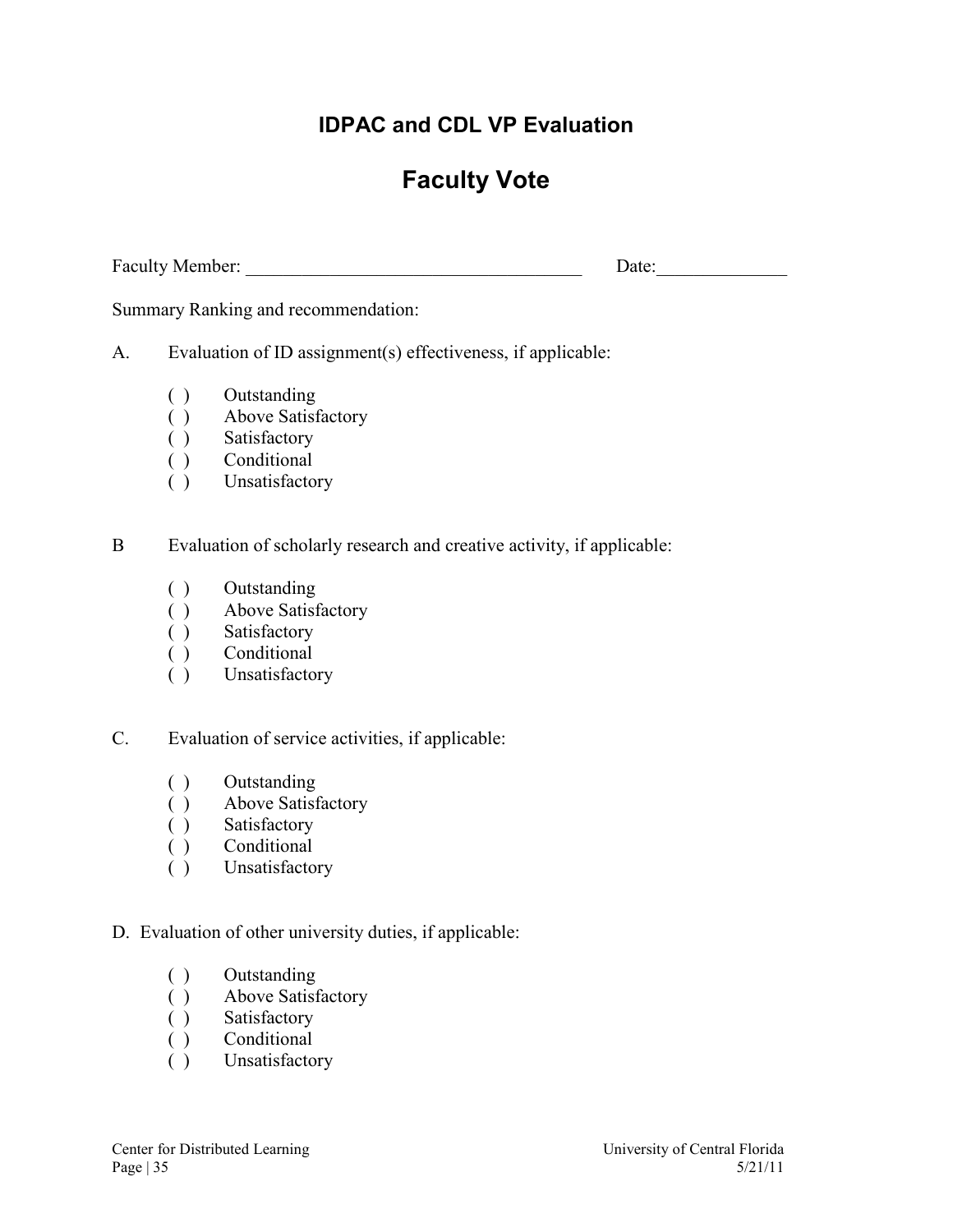### **IDPAC and CDL VP Evaluation**

# **Faculty Vote**

<span id="page-34-0"></span>Faculty Member: \_\_\_\_\_\_\_\_\_\_\_\_\_\_\_\_\_\_\_\_\_\_\_\_\_\_\_\_\_\_\_\_\_\_\_\_ Date:\_\_\_\_\_\_\_\_\_\_\_\_\_\_

Summary Ranking and recommendation:

A. Evaluation of ID assignment(s) effectiveness, if applicable:

- ( ) Outstanding
- ( ) Above Satisfactory
- 
- ( ) Satisfactory<br>( ) Conditional Conditional
- ( ) Unsatisfactory

B Evaluation of scholarly research and creative activity, if applicable:

- ( ) Outstanding
- ( ) Above Satisfactory
- ( ) Satisfactory
- ( ) Conditional
- ( ) Unsatisfactory

C. Evaluation of service activities, if applicable:

- ( ) Outstanding
- ( ) Above Satisfactory<br>( ) Satisfactory
- Satisfactory
- ( ) Conditional
- ( ) Unsatisfactory

D. Evaluation of other university duties, if applicable:

- ( ) Outstanding
- ( ) Above Satisfactory
- ( ) Satisfactory
- ( ) Conditional
- ( ) Unsatisfactory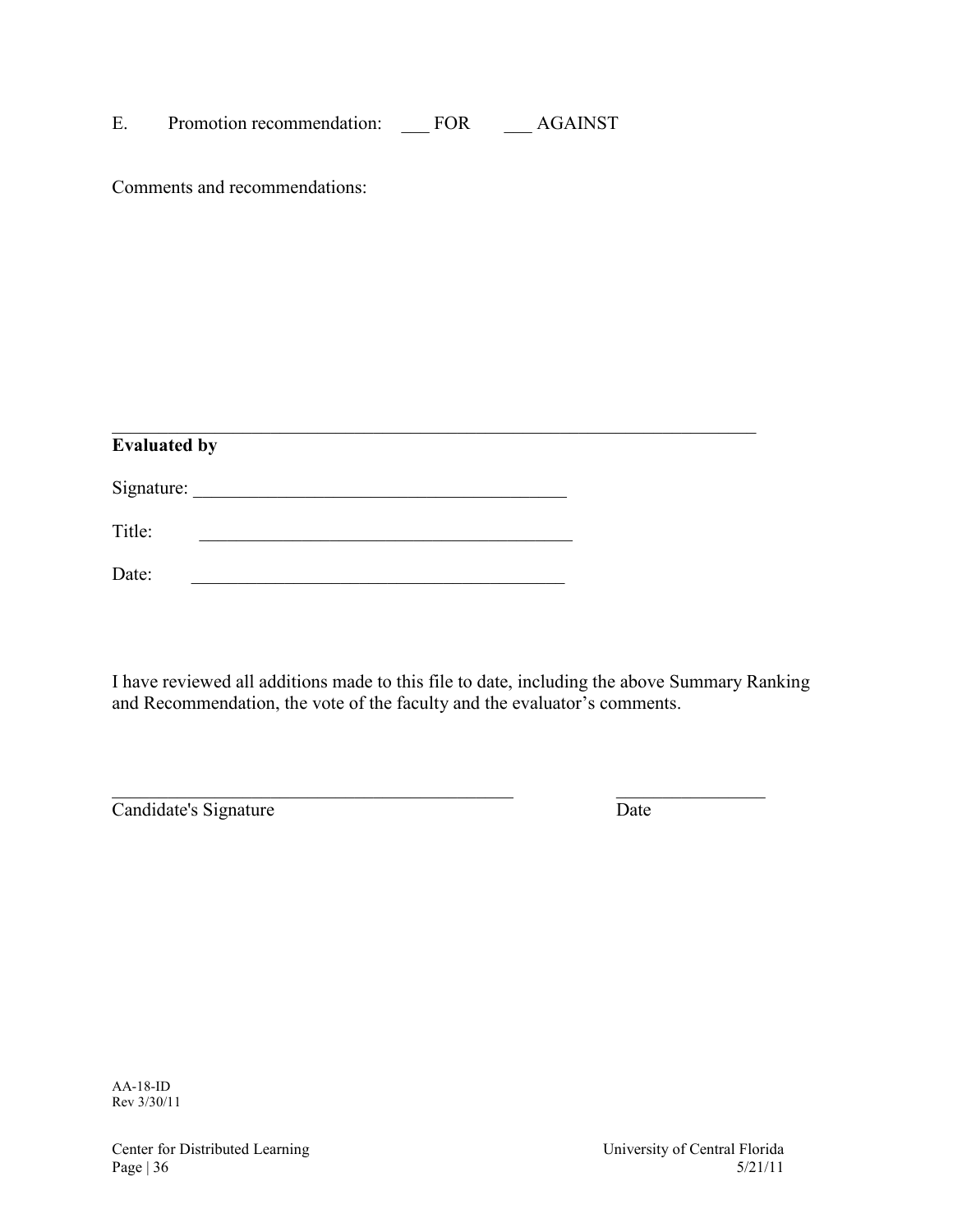| Promotion recommendation: | TOR. | <b>AGAINST</b> |  |
|---------------------------|------|----------------|--|
|                           |      |                |  |

Comments and recommendations:

| <b>Evaluated by</b> |  |  |
|---------------------|--|--|
| Signature:          |  |  |
| Title:              |  |  |
| Date:               |  |  |

I have reviewed all additions made to this file to date, including the above Summary Ranking and Recommendation, the vote of the faculty and the evaluator's comments.

 $\mathcal{L}_\text{max} = \mathcal{L}_\text{max} = \mathcal{L}_\text{max} = \mathcal{L}_\text{max} = \mathcal{L}_\text{max} = \mathcal{L}_\text{max} = \mathcal{L}_\text{max} = \mathcal{L}_\text{max} = \mathcal{L}_\text{max} = \mathcal{L}_\text{max} = \mathcal{L}_\text{max} = \mathcal{L}_\text{max} = \mathcal{L}_\text{max} = \mathcal{L}_\text{max} = \mathcal{L}_\text{max} = \mathcal{L}_\text{max} = \mathcal{L}_\text{max} = \mathcal{L}_\text{max} = \mathcal{$ 

Candidate's Signature Date

AA-18-ID Rev 3/30/11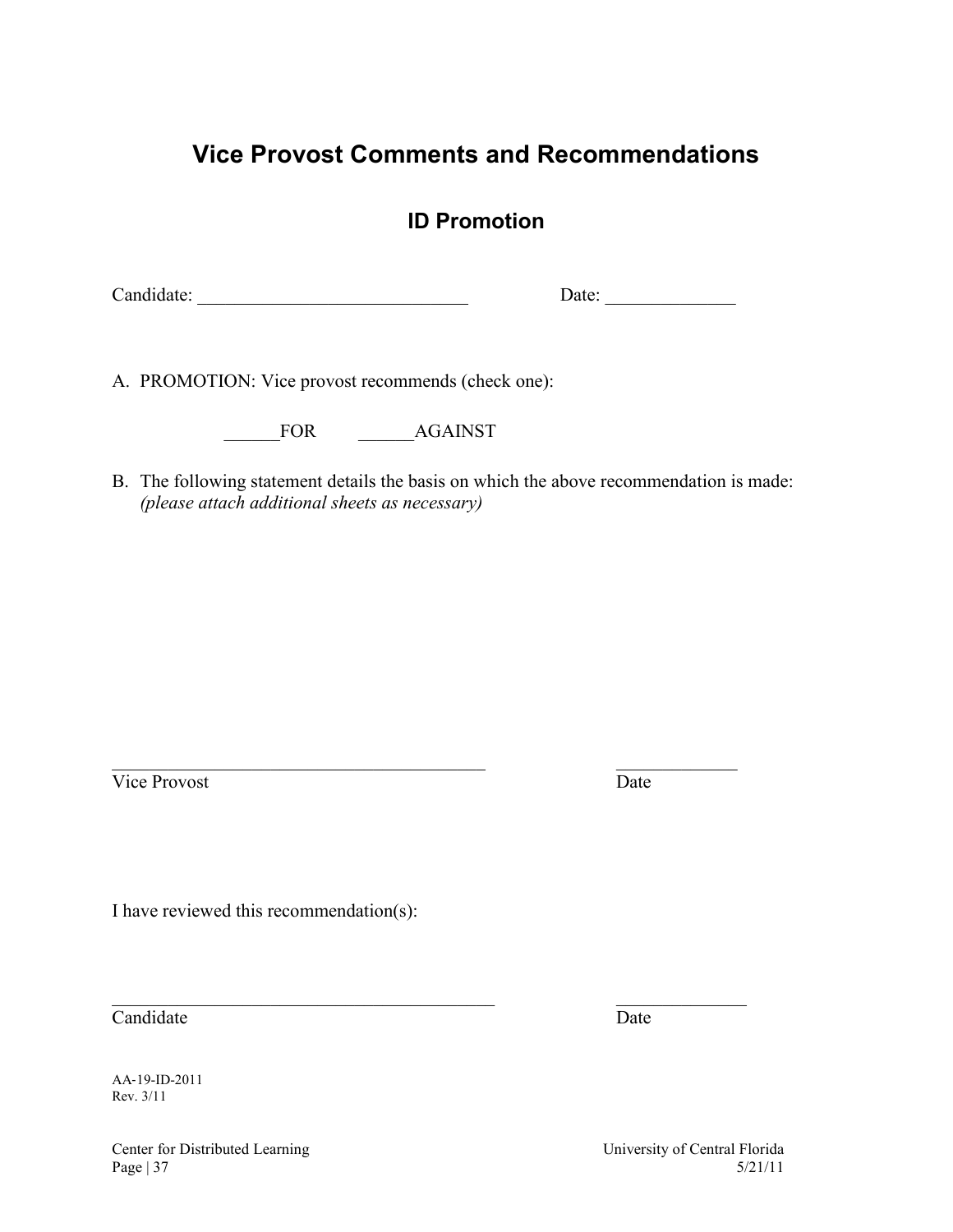### <span id="page-36-0"></span>**Vice Provost Comments and Recommendations**

### **ID Promotion**

Candidate: \_\_\_\_\_\_\_\_\_\_\_\_\_\_\_\_\_\_\_\_\_\_\_\_\_\_\_\_\_ Date: \_\_\_\_\_\_\_\_\_\_\_\_\_\_

A. PROMOTION: Vice provost recommends (check one):

FOR AGAINST

B. The following statement details the basis on which the above recommendation is made: *(please attach additional sheets as necessary)* 

 $\_$  , and the set of the set of the set of the set of the set of the set of the set of the set of the set of the set of the set of the set of the set of the set of the set of the set of the set of the set of the set of th

Vice Provost Date

 $\_$  , and the set of the set of the set of the set of the set of the set of the set of the set of the set of the set of the set of the set of the set of the set of the set of the set of the set of the set of the set of th

I have reviewed this recommendation(s):

Candidate Date

AA‐19-ID-2011 Rev. 3/11

Center for Distributed Learning University of Central Florida Page  $|37 \t5/21/11 \t5/21$